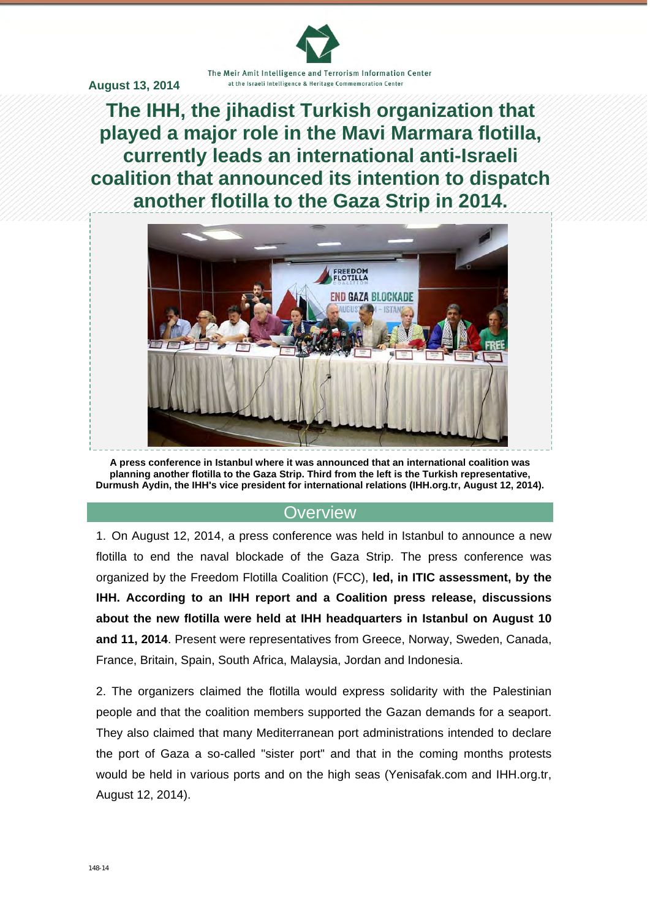The Meir Amit Intelligence and Terrorism Information Center at the Israeli Intelligence & Heritage Commemoration Center

**August 13, 2014** 

**The IHH, the jihadist Turkish organization that played a major role in the Mavi Marmara flotilla, currently leads an international anti-Israeli coalition that announced its intention to dispatch another flotilla to the Gaza Strip in 2014.**



**A press conference in Istanbul where it was announced that an international coalition was planning another flotilla to the Gaza Strip. Third from the left is the Turkish representative, Durmush Aydin, the IHH's vice president for international relations (IHH.org.tr, August 12, 2014).** 

### **Overview**

1. On August 12, 2014, a press conference was held in Istanbul to announce a new flotilla to end the naval blockade of the Gaza Strip. The press conference was organized by the Freedom Flotilla Coalition (FCC), **led, in ITIC assessment, by the IHH. According to an IHH report and a Coalition press release, discussions about the new flotilla were held at IHH headquarters in Istanbul on August 10 and 11, 2014**. Present were representatives from Greece, Norway, Sweden, Canada, France, Britain, Spain, South Africa, Malaysia, Jordan and Indonesia.

2. The organizers claimed the flotilla would express solidarity with the Palestinian people and that the coalition members supported the Gazan demands for a seaport. They also claimed that many Mediterranean port administrations intended to declare the port of Gaza a so-called "sister port" and that in the coming months protests would be held in various ports and on the high seas (Yenisafak.com and IHH.org.tr, August 12, 2014).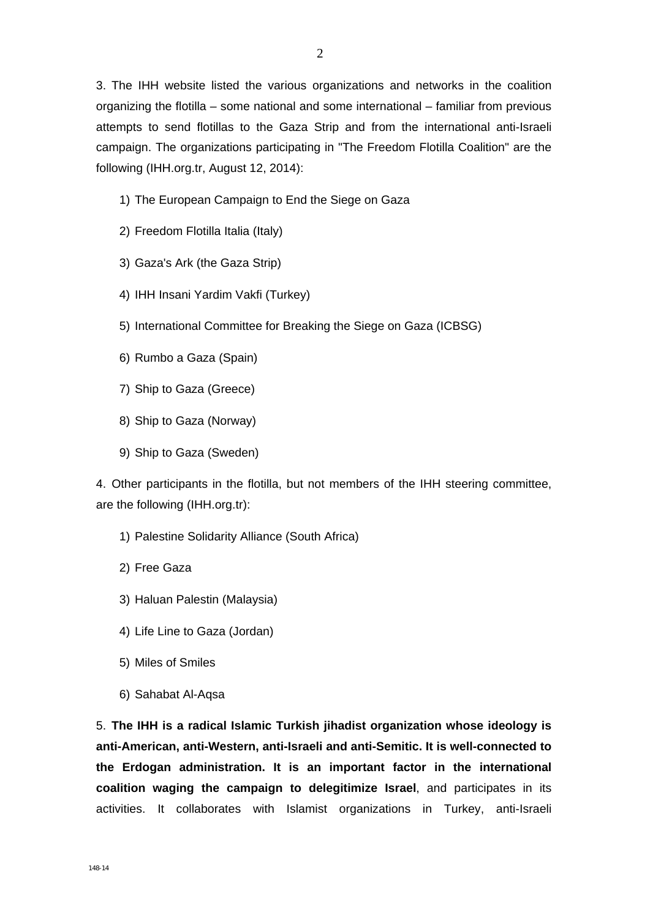3. The IHH website listed the various organizations and networks in the coalition organizing the flotilla – some national and some international – familiar from previous attempts to send flotillas to the Gaza Strip and from the international anti-Israeli campaign. The organizations participating in "The Freedom Flotilla Coalition" are the following (IHH.org.tr, August 12, 2014):

- 1) The European Campaign to End the Siege on Gaza
- 2) Freedom Flotilla Italia (Italy)
- 3) Gaza's Ark (the Gaza Strip)
- 4) IHH Insani Yardim Vakfi (Turkey)
- 5) International Committee for Breaking the Siege on Gaza (ICBSG)
- 6) Rumbo a Gaza (Spain)
- 7) Ship to Gaza (Greece)
- 8) Ship to Gaza (Norway)
- 9) Ship to Gaza (Sweden)

4. Other participants in the flotilla, but not members of the IHH steering committee, are the following (IHH.org.tr):

- 1) Palestine Solidarity Alliance (South Africa)
- 2) Free Gaza
- 3) Haluan Palestin (Malaysia)
- 4) Life Line to Gaza (Jordan)
- 5) Miles of Smiles
- 6) Sahabat Al-Aqsa

5. **The IHH is a radical Islamic Turkish jihadist organization whose ideology is anti-American, anti-Western, anti-Israeli and anti-Semitic. It is well-connected to the Erdogan administration. It is an important factor in the international coalition waging the campaign to delegitimize Israel**, and participates in its activities. It collaborates with Islamist organizations in Turkey, anti-Israeli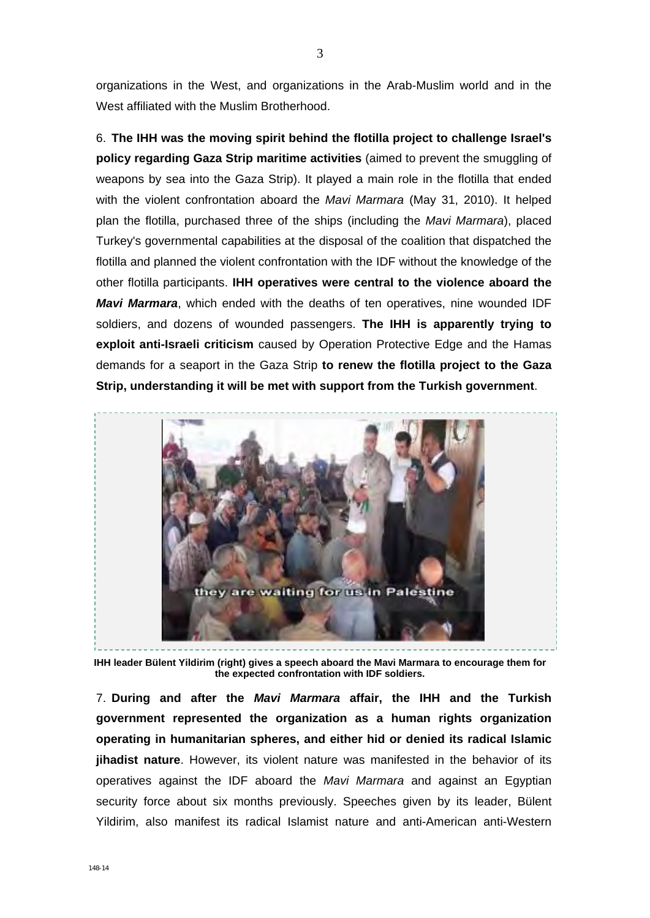organizations in the West, and organizations in the Arab-Muslim world and in the West affiliated with the Muslim Brotherhood.

6. **The IHH was the moving spirit behind the flotilla project to challenge Israel's policy regarding Gaza Strip maritime activities** (aimed to prevent the smuggling of weapons by sea into the Gaza Strip). It played a main role in the flotilla that ended with the violent confrontation aboard the *Mavi Marmara* (May 31, 2010). It helped plan the flotilla, purchased three of the ships (including the *Mavi Marmara*), placed Turkey's governmental capabilities at the disposal of the coalition that dispatched the flotilla and planned the violent confrontation with the IDF without the knowledge of the other flotilla participants. **IHH operatives were central to the violence aboard the**  *Mavi Marmara*, which ended with the deaths of ten operatives, nine wounded IDF soldiers, and dozens of wounded passengers. **The IHH is apparently trying to exploit anti-Israeli criticism** caused by Operation Protective Edge and the Hamas demands for a seaport in the Gaza Strip **to renew the flotilla project to the Gaza Strip, understanding it will be met with support from the Turkish government**.



**IHH leader Bülent Yildirim (right) gives a speech aboard the Mavi Marmara to encourage them for the expected confrontation with IDF soldiers.** 

7. **During and after the** *Mavi Marmara* **affair, the IHH and the Turkish government represented the organization as a human rights organization operating in humanitarian spheres, and either hid or denied its radical Islamic jihadist nature**. However, its violent nature was manifested in the behavior of its operatives against the IDF aboard the *Mavi Marmara* and against an Egyptian security force about six months previously. Speeches given by its leader, Bülent Yildirim, also manifest its radical Islamist nature and anti-American anti-Western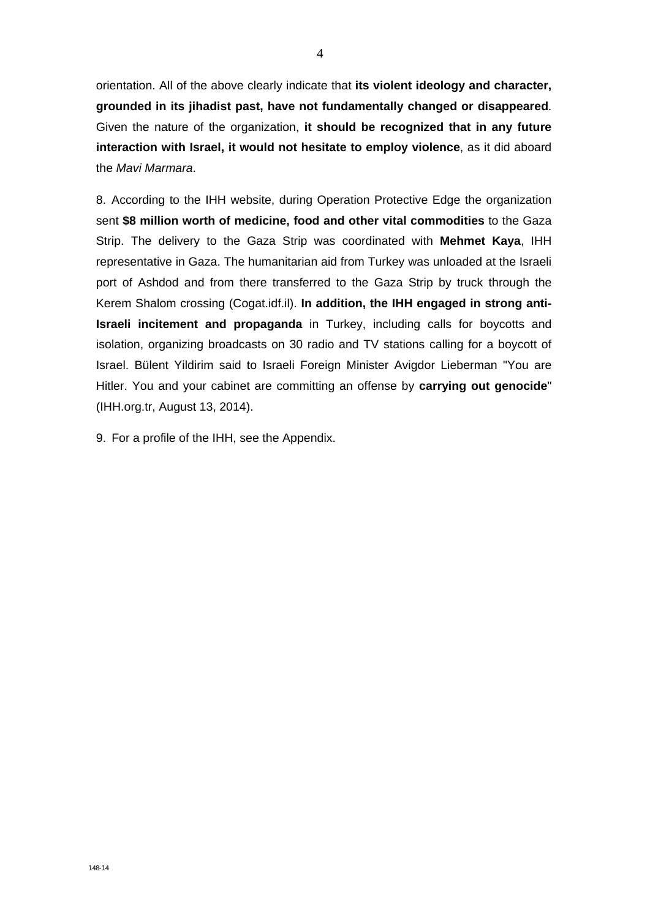orientation. All of the above clearly indicate that **its violent ideology and character, grounded in its jihadist past, have not fundamentally changed or disappeared**. Given the nature of the organization, **it should be recognized that in any future interaction with Israel, it would not hesitate to employ violence**, as it did aboard the *Mavi Marmara*.

8. According to the IHH website, during Operation Protective Edge the organization sent **\$8 million worth of medicine, food and other vital commodities** to the Gaza Strip. The delivery to the Gaza Strip was coordinated with **Mehmet Kaya**, IHH representative in Gaza. The humanitarian aid from Turkey was unloaded at the Israeli port of Ashdod and from there transferred to the Gaza Strip by truck through the Kerem Shalom crossing (Cogat.idf.il). **In addition, the IHH engaged in strong anti-Israeli incitement and propaganda** in Turkey, including calls for boycotts and isolation, organizing broadcasts on 30 radio and TV stations calling for a boycott of Israel. Bülent Yildirim said to Israeli Foreign Minister Avigdor Lieberman "You are Hitler. You and your cabinet are committing an offense by **carrying out genocide**" (IHH.org.tr, August 13, 2014).

9. For a profile of the IHH, see the Appendix.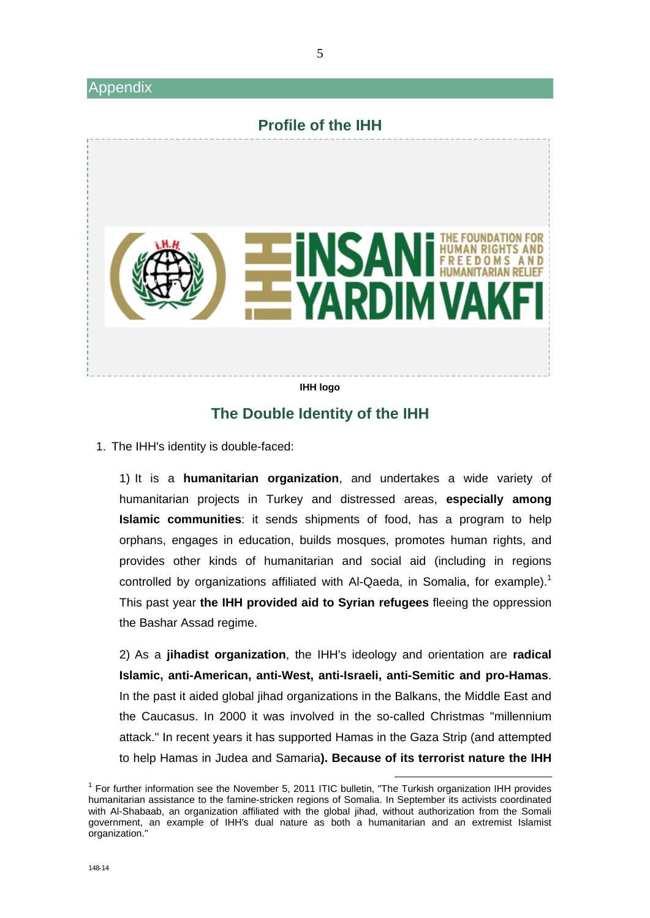#### Appendix



### **The Double Identity of the IHH**

1. The IHH's identity is double-faced:

1) It is a **humanitarian organization**, and undertakes a wide variety of humanitarian projects in Turkey and distressed areas, **especially among Islamic communities**: it sends shipments of food, has a program to help orphans, engages in education, builds mosques, promotes human rights, and provides other kinds of humanitarian and social aid (including in regions controlled by organizations affiliated with Al-Qaeda, in Somalia, for example).<sup>1</sup> This past year **the IHH provided aid to Syrian refugees** fleeing the oppression the Bashar Assad regime.

2) As a **jihadist organization**, the IHH's ideology and orientation are **radical Islamic, anti-American, anti-West, anti-Israeli, anti-Semitic and pro-Hamas**. In the past it aided global jihad organizations in the Balkans, the Middle East and the Caucasus. In 2000 it was involved in the so-called Christmas "millennium attack." In recent years it has supported Hamas in the Gaza Strip (and attempted to help Hamas in Judea and Samaria**). Because of its terrorist nature the IHH** 

<sup>1</sup> For further information see the November 5, 2011 ITIC bulletin, "The Turkish organization IHH provides humanitarian assistance to the famine-stricken regions of Somalia. In September its activists coordinated with Al-Shabaab, an organization affiliated with the global jihad, without authorization from the Somali government, an example of IHH's dual nature as both a humanitarian and an extremist Islamist organization."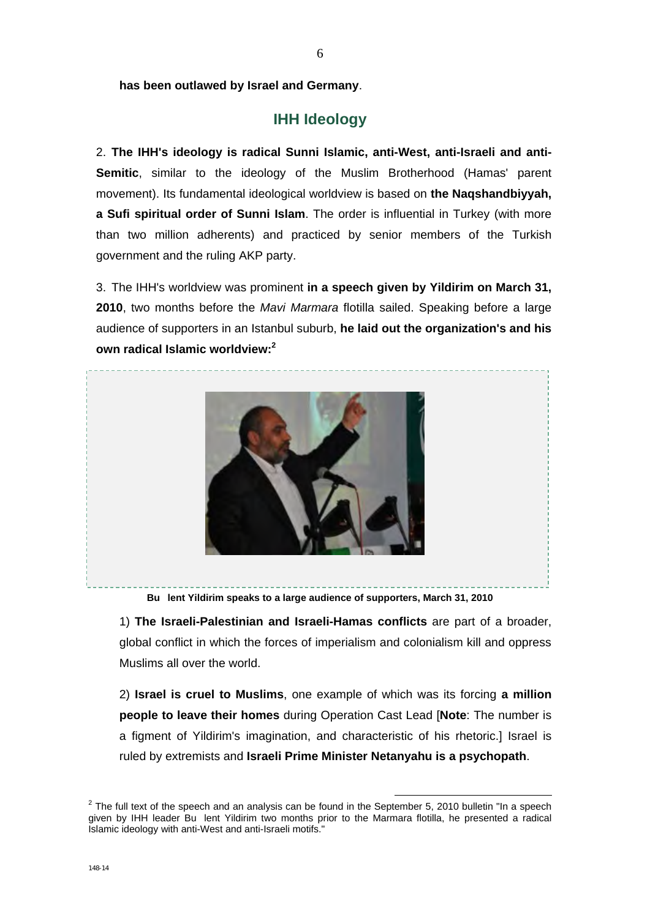# **IHH Ideology**

2. **The IHH's ideology is radical Sunni Islamic, anti-West, anti-Israeli and anti-Semitic**, similar to the ideology of the Muslim Brotherhood (Hamas' parent movement). Its fundamental ideological worldview is based on **the Naqshandbiyyah, a Sufi spiritual order of Sunni Islam**. The order is influential in Turkey (with more than two million adherents) and practiced by senior members of the Turkish government and the ruling AKP party.

3. The IHH's worldview was prominent **in a speech given by Yildirim on March 31, 2010**, two months before the *Mavi Marmara* flotilla sailed. Speaking before a large audience of supporters in an Istanbul suburb, **he laid out the organization's and his own radical Islamic worldview:2**



**Bu lent Yildirim speaks to a large audience of supporters, March 31, 2010** 

1) **The Israeli-Palestinian and Israeli-Hamas conflicts** are part of a broader, global conflict in which the forces of imperialism and colonialism kill and oppress Muslims all over the world.

2) **Israel is cruel to Muslims**, one example of which was its forcing **a million people to leave their homes** during Operation Cast Lead [**Note**: The number is a figment of Yildirim's imagination, and characteristic of his rhetoric.] Israel is ruled by extremists and **Israeli Prime Minister Netanyahu is a psychopath**.

<sup>2</sup> The full text of the speech and an analysis can be found in the September 5, 2010 bulletin "In a speech given by IHH leader Bu lent Yildirim two months prior to the Marmara flotilla, he presented a radical Islamic ideology with anti-West and anti-Israeli motifs."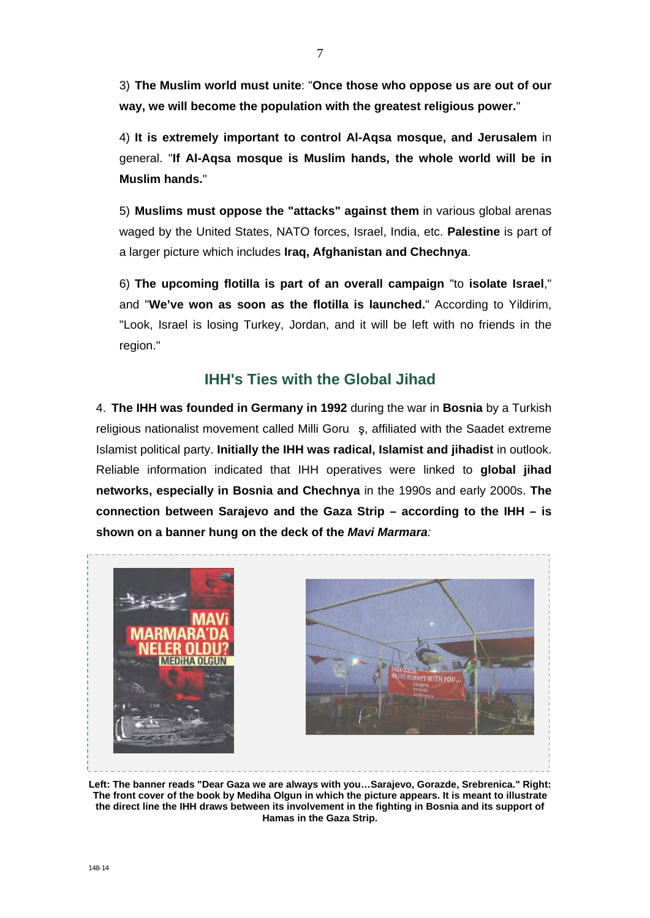3) **The Muslim world must unite**: "**Once those who oppose us are out of our way, we will become the population with the greatest religious power.**"

4) **It is extremely important to control Al-Aqsa mosque, and Jerusalem** in general. "**If Al-Aqsa mosque is Muslim hands, the whole world will be in Muslim hands.**"

5) **Muslims must oppose the "attacks" against them** in various global arenas waged by the United States, NATO forces, Israel, India, etc. **Palestine** is part of a larger picture which includes **Iraq, Afghanistan and Chechnya**.

6) **The upcoming flotilla is part of an overall campaign** "to **isolate Israel**," and "**We've won as soon as the flotilla is launched.**" According to Yildirim, "Look, Israel is losing Turkey, Jordan, and it will be left with no friends in the region."

# **IHH's Ties with the Global Jihad**

4. **The IHH was founded in Germany in 1992** during the war in **Bosnia** by a Turkish religious nationalist movement called Milli Goru ş, affiliated with the Saadet extreme Islamist political party. **Initially the IHH was radical, Islamist and jihadist** in outlook. Reliable information indicated that IHH operatives were linked to **global jihad networks, especially in Bosnia and Chechnya** in the 1990s and early 2000s. **The connection between Sarajevo and the Gaza Strip – according to the IHH – is shown on a banner hung on the deck of the** *Mavi Marmara:*



**Left: The banner reads "Dear Gaza we are always with you…Sarajevo, Gorazde, Srebrenica." Right: The front cover of the book by Mediha Olgun in which the picture appears. It is meant to illustrate the direct line the IHH draws between its involvement in the fighting in Bosnia and its support of Hamas in the Gaza Strip.**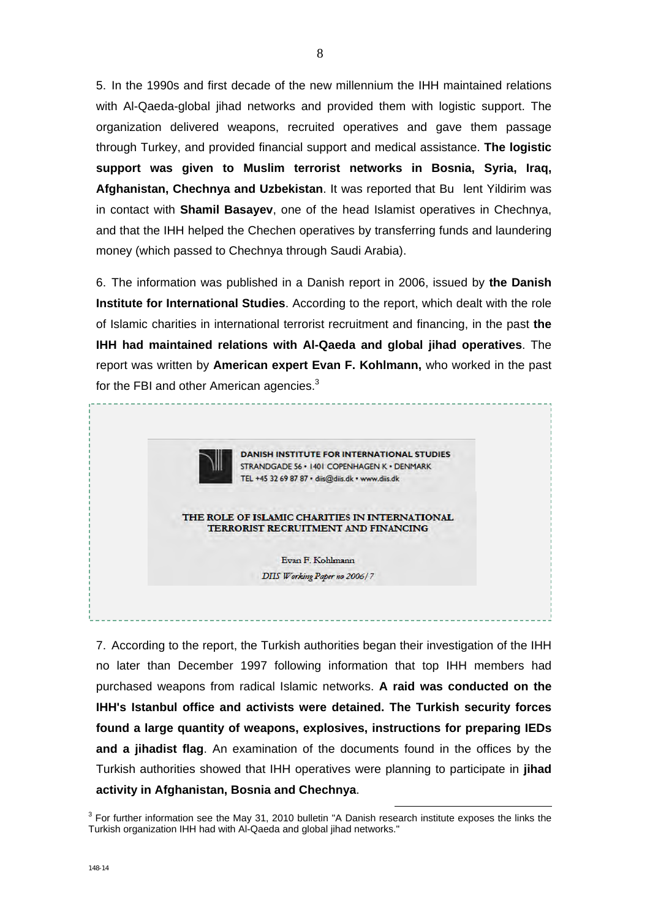5. In the 1990s and first decade of the new millennium the IHH maintained relations with Al-Qaeda-global jihad networks and provided them with logistic support. The organization delivered weapons, recruited operatives and gave them passage through Turkey, and provided financial support and medical assistance. **The logistic support was given to Muslim terrorist networks in Bosnia, Syria, Iraq, Afghanistan, Chechnya and Uzbekistan**. It was reported that Bu lent Yildirim was in contact with **Shamil Basayev**, one of the head Islamist operatives in Chechnya, and that the IHH helped the Chechen operatives by transferring funds and laundering money (which passed to Chechnya through Saudi Arabia).

6. The information was published in a Danish report in 2006, issued by **the Danish Institute for International Studies**. According to the report, which dealt with the role of Islamic charities in international terrorist recruitment and financing, in the past **the IHH had maintained relations with Al-Qaeda and global jihad operatives**. The report was written by **American expert Evan F. Kohlmann,** who worked in the past for the FBI and other American agencies. $3$ 



7. According to the report, the Turkish authorities began their investigation of the IHH no later than December 1997 following information that top IHH members had purchased weapons from radical Islamic networks. **A raid was conducted on the IHH's Istanbul office and activists were detained. The Turkish security forces found a large quantity of weapons, explosives, instructions for preparing IEDs and a jihadist flag**. An examination of the documents found in the offices by the Turkish authorities showed that IHH operatives were planning to participate in **jihad activity in Afghanistan, Bosnia and Chechnya**.

<sup>3</sup> For further information see the May 31, 2010 bulletin "A Danish research institute exposes the links the Turkish organization IHH had with Al-Qaeda and global jihad networks."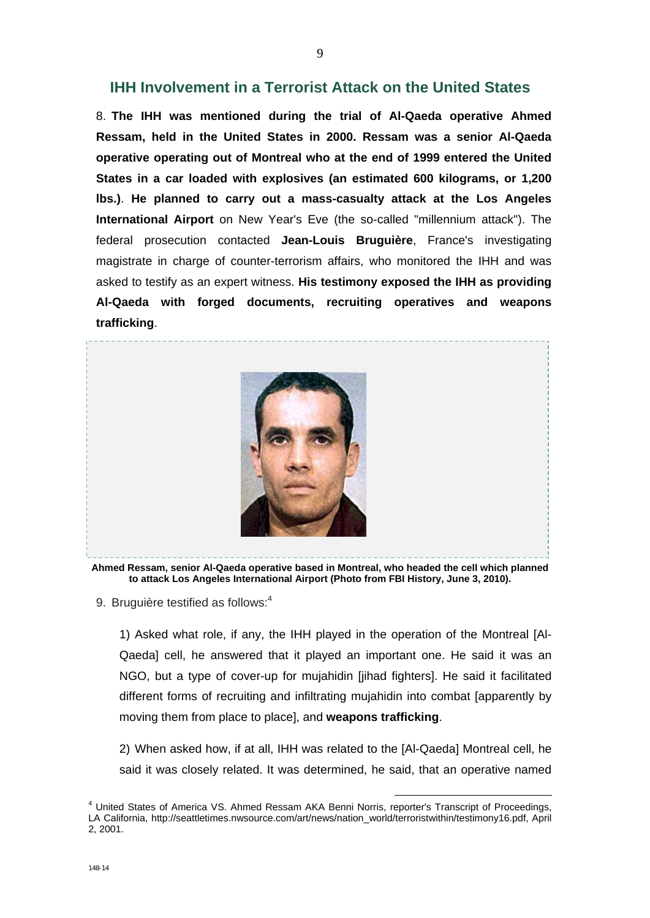#### **IHH Involvement in a Terrorist Attack on the United States**

8. **The IHH was mentioned during the trial of Al-Qaeda operative Ahmed Ressam, held in the United States in 2000. Ressam was a senior Al-Qaeda operative operating out of Montreal who at the end of 1999 entered the United States in a car loaded with explosives (an estimated 600 kilograms, or 1,200 lbs.)**. **He planned to carry out a mass-casualty attack at the Los Angeles International Airport** on New Year's Eve (the so-called "millennium attack"). The federal prosecution contacted **Jean-Louis Bruguière**, France's investigating magistrate in charge of counter-terrorism affairs, who monitored the IHH and was asked to testify as an expert witness. **His testimony exposed the IHH as providing Al-Qaeda with forged documents, recruiting operatives and weapons trafficking**.



**Ahmed Ressam, senior Al-Qaeda operative based in Montreal, who headed the cell which planned to attack Los Angeles International Airport (Photo from FBI History, June 3, 2010).** 

9. Bruguière testified as follows:<sup>4</sup>

1) Asked what role, if any, the IHH played in the operation of the Montreal [Al-Qaeda] cell, he answered that it played an important one. He said it was an NGO, but a type of cover-up for mujahidin [jihad fighters]. He said it facilitated different forms of recruiting and infiltrating mujahidin into combat [apparently by moving them from place to place], and **weapons trafficking**.

2) When asked how, if at all, IHH was related to the [Al-Qaeda] Montreal cell, he said it was closely related. It was determined, he said, that an operative named

<sup>4</sup> United States of America VS. Ahmed Ressam AKA Benni Norris, reporter's Transcript of Proceedings, LA California, http://seattletimes.nwsource.com/art/news/nation\_world/terroristwithin/testimony16.pdf, April 2, 2001.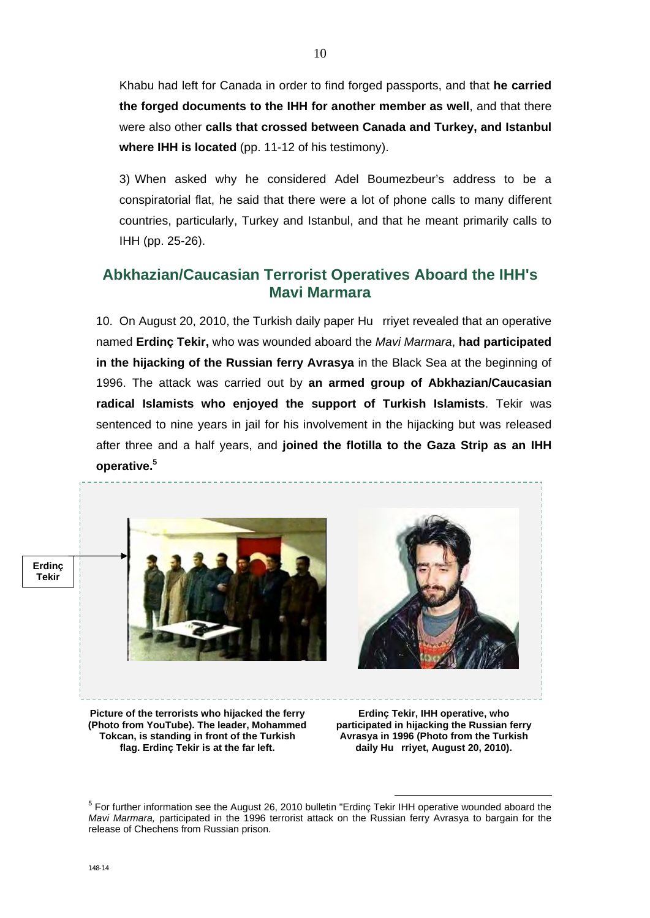Khabu had left for Canada in order to find forged passports, and that **he carried the forged documents to the IHH for another member as well**, and that there were also other **calls that crossed between Canada and Turkey, and Istanbul where IHH is located** (pp. 11-12 of his testimony).

3) When asked why he considered Adel Boumezbeur's address to be a conspiratorial flat, he said that there were a lot of phone calls to many different countries, particularly, Turkey and Istanbul, and that he meant primarily calls to IHH (pp. 25-26).

## **Abkhazian/Caucasian Terrorist Operatives Aboard the IHH's Mavi Marmara**

10. On August 20, 2010, the Turkish daily paper Hu rriyet revealed that an operative named **Erdinç Tekir,** who was wounded aboard the *Mavi Marmara*, **had participated in the hijacking of the Russian ferry Avrasya** in the Black Sea at the beginning of 1996. The attack was carried out by **an armed group of Abkhazian/Caucasian radical Islamists who enjoyed the support of Turkish Islamists**. Tekir was sentenced to nine years in jail for his involvement in the hijacking but was released after three and a half years, and **joined the flotilla to the Gaza Strip as an IHH operative.<sup>5</sup>**



<sup>5</sup> For further information see the August 26, 2010 bulletin "Erdinç Tekir IHH operative wounded aboard the *Mavi Marmara,* participated in the 1996 terrorist attack on the Russian ferry Avrasya to bargain for the release of Chechens from Russian prison.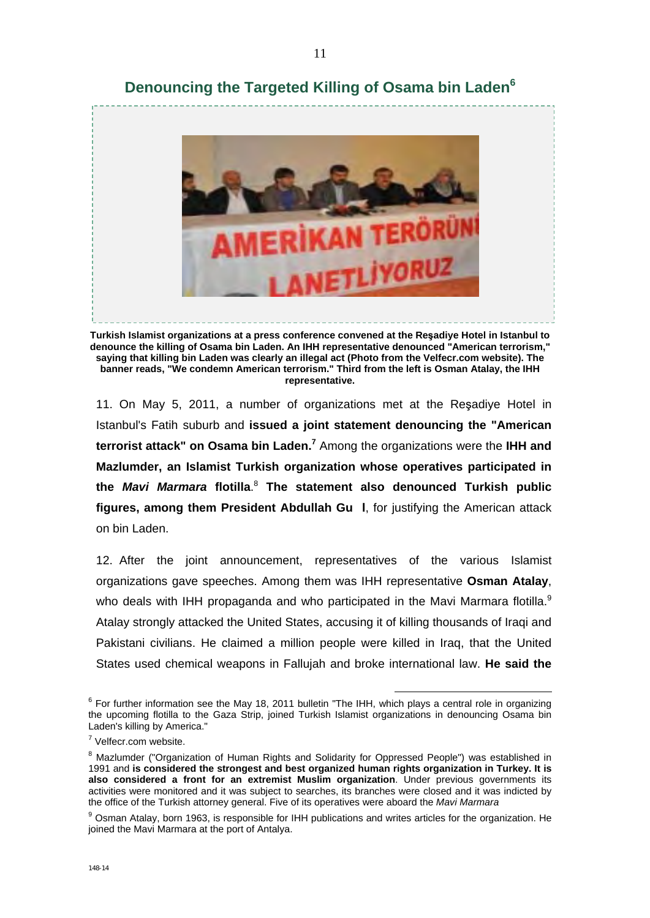

**Denouncing the Targeted Killing of Osama bin Laden<sup>6</sup>**

**Turkish Islamist organizations at a press conference convened at the Reşadiye Hotel in Istanbul to denounce the killing of Osama bin Laden. An IHH representative denounced "American terrorism," saying that killing bin Laden was clearly an illegal act (Photo from the Velfecr.com website). The banner reads, "We condemn American terrorism." Third from the left is Osman Atalay, the IHH representative.** 

11. On May 5, 2011, a number of organizations met at the Reşadiye Hotel in Istanbul's Fatih suburb and **issued a joint statement denouncing the "American terrorist attack" on Osama bin Laden.<sup>7</sup>** Among the organizations were the **IHH and Mazlumder, an Islamist Turkish organization whose operatives participated in the** *Mavi Marmara* **flotilla**. <sup>8</sup> **The statement also denounced Turkish public figures, among them President Abdullah Gu l**, for justifying the American attack on bin Laden.

12. After the joint announcement, representatives of the various Islamist organizations gave speeches. Among them was IHH representative **Osman Atalay**, who deals with IHH propaganda and who participated in the Mavi Marmara flotilla.<sup>9</sup> Atalay strongly attacked the United States, accusing it of killing thousands of Iraqi and Pakistani civilians. He claimed a million people were killed in Iraq, that the United States used chemical weapons in Fallujah and broke international law. **He said the** 

<sup>6</sup> For further information see the May 18, 2011 bulletin "The IHH, which plays a central role in organizing the upcoming flotilla to the Gaza Strip, joined Turkish Islamist organizations in denouncing Osama bin Laden's killing by America."

<sup>&</sup>lt;sup>7</sup> Velfecr.com website.

<sup>&</sup>lt;sup>8</sup> Mazlumder ("Organization of Human Rights and Solidarity for Oppressed People") was established in 1991 and **is considered the strongest and best organized human rights organization in Turkey. It is also considered a front for an extremist Muslim organization**. Under previous governments its activities were monitored and it was subject to searches, its branches were closed and it was indicted by the office of the Turkish attorney general. Five of its operatives were aboard the *Mavi Marmara*

<sup>&</sup>lt;sup>9</sup> Osman Atalay, born 1963, is responsible for IHH publications and writes articles for the organization. He joined the Mavi Marmara at the port of Antalya.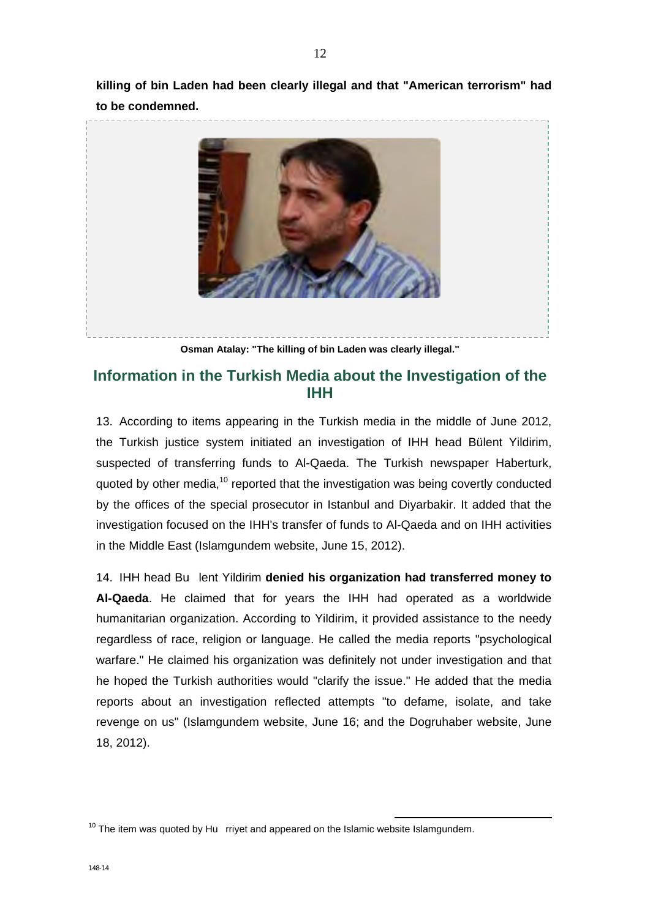**killing of bin Laden had been clearly illegal and that "American terrorism" had to be condemned.** 



**Osman Atalay: "The killing of bin Laden was clearly illegal."** 

## **Information in the Turkish Media about the Investigation of the IHH**

13. According to items appearing in the Turkish media in the middle of June 2012, the Turkish justice system initiated an investigation of IHH head Bülent Yildirim, suspected of transferring funds to Al-Qaeda. The Turkish newspaper Haberturk, quoted by other media,<sup>10</sup> reported that the investigation was being covertly conducted by the offices of the special prosecutor in Istanbul and Diyarbakir. It added that the investigation focused on the IHH's transfer of funds to Al-Qaeda and on IHH activities in the Middle East (Islamgundem website, June 15, 2012).

14. IHH head Bu lent Yildirim **denied his organization had transferred money to Al-Qaeda**. He claimed that for years the IHH had operated as a worldwide humanitarian organization. According to Yildirim, it provided assistance to the needy regardless of race, religion or language. He called the media reports "psychological warfare." He claimed his organization was definitely not under investigation and that he hoped the Turkish authorities would "clarify the issue." He added that the media reports about an investigation reflected attempts "to defame, isolate, and take revenge on us" (Islamgundem website, June 16; and the Dogruhaber website, June 18, 2012).

 $10$  The item was quoted by Hu rriyet and appeared on the Islamic website Islamgundem.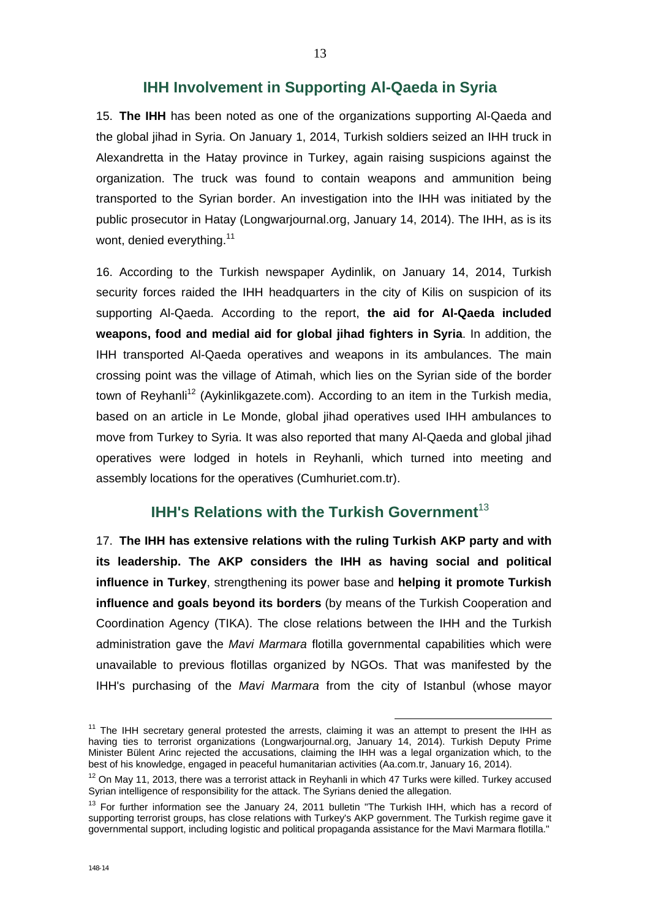#### **IHH Involvement in Supporting Al-Qaeda in Syria**

15. **The IHH** has been noted as one of the organizations supporting Al-Qaeda and the global jihad in Syria. On January 1, 2014, Turkish soldiers seized an IHH truck in Alexandretta in the Hatay province in Turkey, again raising suspicions against the organization. The truck was found to contain weapons and ammunition being transported to the Syrian border. An investigation into the IHH was initiated by the public prosecutor in Hatay (Longwarjournal.org, January 14, 2014). The IHH, as is its wont, denied everything.<sup>11</sup>

16. According to the Turkish newspaper Aydinlik, on January 14, 2014, Turkish security forces raided the IHH headquarters in the city of Kilis on suspicion of its supporting Al-Qaeda. According to the report, **the aid for Al-Qaeda included weapons, food and medial aid for global jihad fighters in Syria**. In addition, the IHH transported Al-Qaeda operatives and weapons in its ambulances. The main crossing point was the village of Atimah, which lies on the Syrian side of the border town of Reyhanli<sup>12</sup> (Aykinlikgazete.com). According to an item in the Turkish media, based on an article in Le Monde, global jihad operatives used IHH ambulances to move from Turkey to Syria. It was also reported that many Al-Qaeda and global jihad operatives were lodged in hotels in Reyhanli, which turned into meeting and assembly locations for the operatives (Cumhuriet.com.tr).

#### **IHH's Relations with the Turkish Government**<sup>13</sup>

17. **The IHH has extensive relations with the ruling Turkish AKP party and with its leadership. The AKP considers the IHH as having social and political influence in Turkey**, strengthening its power base and **helping it promote Turkish influence and goals beyond its borders** (by means of the Turkish Cooperation and Coordination Agency (TIKA). The close relations between the IHH and the Turkish administration gave the *Mavi Marmara* flotilla governmental capabilities which were unavailable to previous flotillas organized by NGOs. That was manifested by the IHH's purchasing of the *Mavi Marmara* from the city of Istanbul (whose mayor

 $11$  The IHH secretary general protested the arrests, claiming it was an attempt to present the IHH as having ties to terrorist organizations (Longwarjournal.org, January 14, 2014). Turkish Deputy Prime Minister Bülent Arinc rejected the accusations, claiming the IHH was a legal organization which, to the best of his knowledge, engaged in peaceful humanitarian activities (Aa.com.tr, January 16, 2014).

 $12$  On May 11, 2013, there was a terrorist attack in Reyhanli in which 47 Turks were killed. Turkey accused Syrian intelligence of responsibility for the attack. The Syrians denied the allegation.

<sup>&</sup>lt;sup>13</sup> For further information see the January 24, 2011 bulletin "The Turkish IHH, which has a record of supporting terrorist groups, has close relations with Turkey's AKP government. The Turkish regime gave it governmental support, including logistic and political propaganda assistance for the Mavi Marmara flotilla."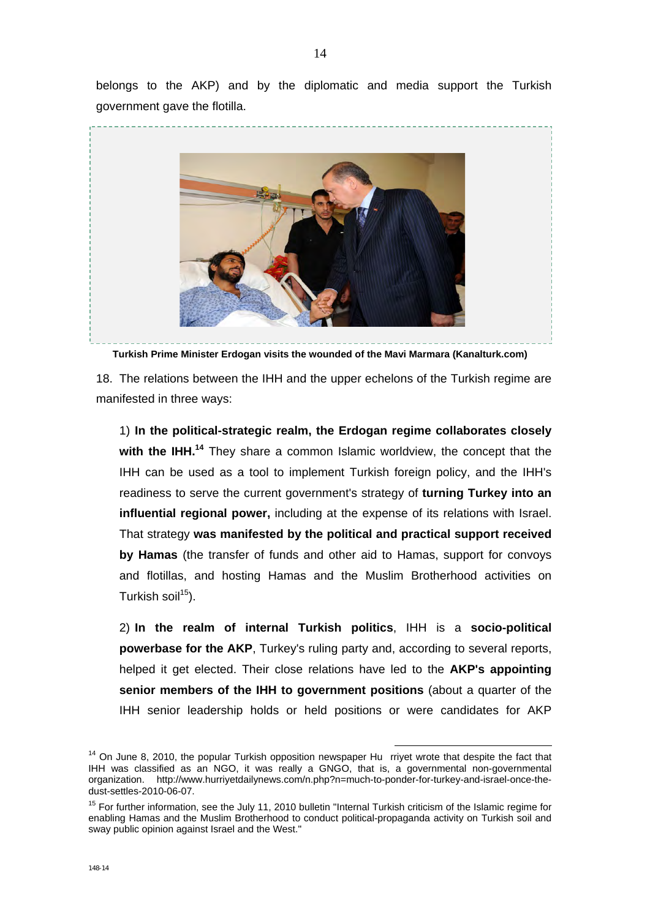belongs to the AKP) and by the diplomatic and media support the Turkish government gave the flotilla.



**Turkish Prime Minister Erdogan visits the wounded of the Mavi Marmara (Kanalturk.com)** 

18. The relations between the IHH and the upper echelons of the Turkish regime are manifested in three ways:

1) **In the political-strategic realm, the Erdogan regime collaborates closely**  with the IHH.<sup>14</sup> They share a common Islamic worldview, the concept that the IHH can be used as a tool to implement Turkish foreign policy, and the IHH's readiness to serve the current government's strategy of **turning Turkey into an influential regional power,** including at the expense of its relations with Israel. That strategy **was manifested by the political and practical support received by Hamas** (the transfer of funds and other aid to Hamas, support for convoys and flotillas, and hosting Hamas and the Muslim Brotherhood activities on Turkish soil $15$ ).

2) **In the realm of internal Turkish politics**, IHH is a **socio-political powerbase for the AKP**, Turkey's ruling party and, according to several reports, helped it get elected. Their close relations have led to the **AKP's appointing senior members of the IHH to government positions** (about a quarter of the IHH senior leadership holds or held positions or were candidates for AKP

 $14$  On June 8, 2010, the popular Turkish opposition newspaper Hu rriyet wrote that despite the fact that IHH was classified as an NGO, it was really a GNGO, that is, a governmental non-governmental organization. http://www.hurriyetdailynews.com/n.php?n=much-to-ponder-for-turkey-and-israel-once-thedust-settles-2010-06-07.

<sup>&</sup>lt;sup>15</sup> For further information, see the July 11, 2010 bulletin "Internal Turkish criticism of the Islamic regime for enabling Hamas and the Muslim Brotherhood to conduct political-propaganda activity on Turkish soil and sway public opinion against Israel and the West."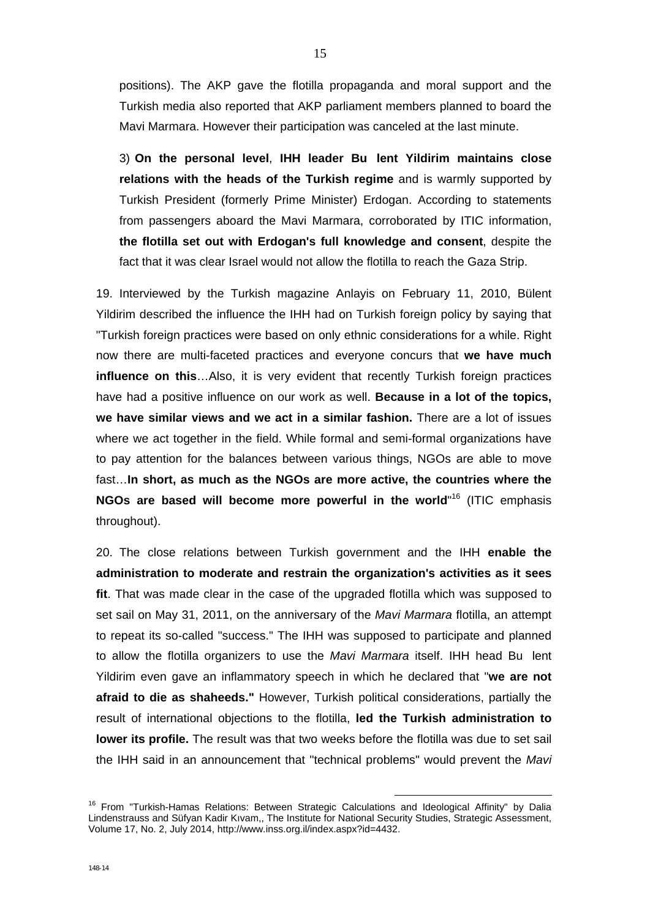positions). The AKP gave the flotilla propaganda and moral support and the Turkish media also reported that AKP parliament members planned to board the Mavi Marmara. However their participation was canceled at the last minute.

3) **On the personal level**, **IHH leader Bu lent Yildirim maintains close relations with the heads of the Turkish regime** and is warmly supported by Turkish President (formerly Prime Minister) Erdogan. According to statements from passengers aboard the Mavi Marmara, corroborated by ITIC information, **the flotilla set out with Erdogan's full knowledge and consent**, despite the fact that it was clear Israel would not allow the flotilla to reach the Gaza Strip.

19. Interviewed by the Turkish magazine Anlayis on February 11, 2010, Bülent Yildirim described the influence the IHH had on Turkish foreign policy by saying that "Turkish foreign practices were based on only ethnic considerations for a while. Right now there are multi-faceted practices and everyone concurs that **we have much influence on this...**Also, it is very evident that recently Turkish foreign practices have had a positive influence on our work as well. **Because in a lot of the topics, we have similar views and we act in a similar fashion.** There are a lot of issues where we act together in the field. While formal and semi-formal organizations have to pay attention for the balances between various things, NGOs are able to move fast…**In short, as much as the NGOs are more active, the countries where the**  NGOs are based will become more powerful in the world<sup>"16</sup> (ITIC emphasis throughout).

20. The close relations between Turkish government and the IHH **enable the administration to moderate and restrain the organization's activities as it sees fit**. That was made clear in the case of the upgraded flotilla which was supposed to set sail on May 31, 2011, on the anniversary of the *Mavi Marmara* flotilla, an attempt to repeat its so-called "success." The IHH was supposed to participate and planned to allow the flotilla organizers to use the *Mavi Marmara* itself. IHH head Bu lent Yildirim even gave an inflammatory speech in which he declared that "**we are not afraid to die as shaheeds."** However, Turkish political considerations, partially the result of international objections to the flotilla, **led the Turkish administration to lower its profile.** The result was that two weeks before the flotilla was due to set sail the IHH said in an announcement that "technical problems" would prevent the *Mavi* 

<sup>&</sup>lt;sup>16</sup> From "Turkish-Hamas Relations: Between Strategic Calculations and Ideological Affinity" by Dalia Lindenstrauss and Süfyan Kadir Kıvam,, The Institute for National Security Studies, Strategic Assessment, Volume 17, No. 2, July 2014, http://www.inss.org.il/index.aspx?id=4432.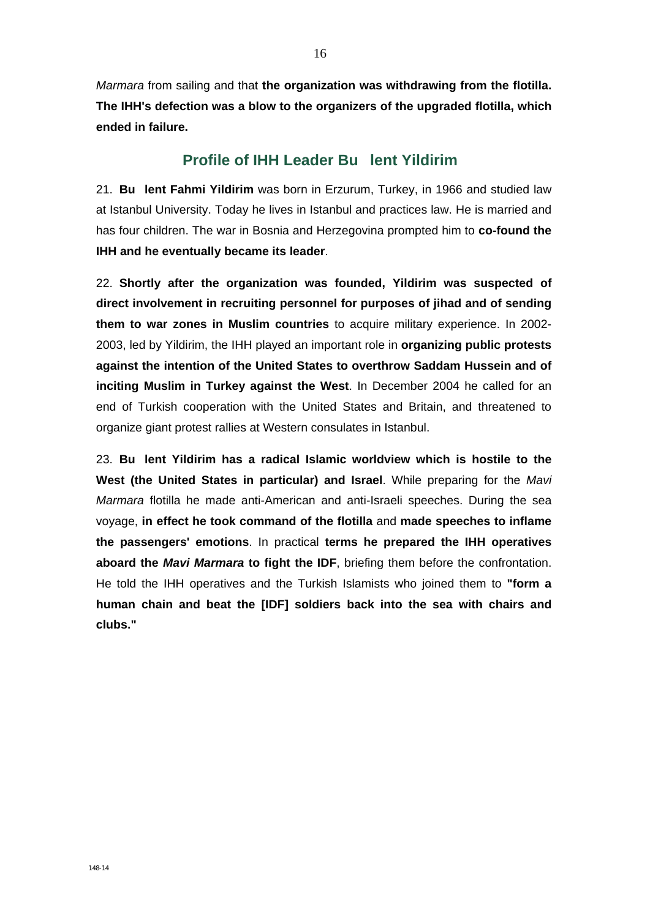*Marmara* from sailing and that **the organization was withdrawing from the flotilla. The IHH's defection was a blow to the organizers of the upgraded flotilla, which ended in failure.** 

### **Profile of IHH Leader Bu lent Yildirim**

21. **Bu lent Fahmi Yildirim** was born in Erzurum, Turkey, in 1966 and studied law at Istanbul University. Today he lives in Istanbul and practices law. He is married and has four children. The war in Bosnia and Herzegovina prompted him to **co-found the IHH and he eventually became its leader**.

22. **Shortly after the organization was founded, Yildirim was suspected of direct involvement in recruiting personnel for purposes of jihad and of sending them to war zones in Muslim countries** to acquire military experience. In 2002- 2003, led by Yildirim, the IHH played an important role in **organizing public protests against the intention of the United States to overthrow Saddam Hussein and of inciting Muslim in Turkey against the West**. In December 2004 he called for an end of Turkish cooperation with the United States and Britain, and threatened to organize giant protest rallies at Western consulates in Istanbul.

23. **Bu lent Yildirim has a radical Islamic worldview which is hostile to the West (the United States in particular) and Israel**. While preparing for the *Mavi Marmara* flotilla he made anti-American and anti-Israeli speeches. During the sea voyage, **in effect he took command of the flotilla** and **made speeches to inflame the passengers' emotions**. In practical **terms he prepared the IHH operatives aboard the** *Mavi Marmara* **to fight the IDF**, briefing them before the confrontation. He told the IHH operatives and the Turkish Islamists who joined them to **"form a human chain and beat the [IDF] soldiers back into the sea with chairs and clubs."**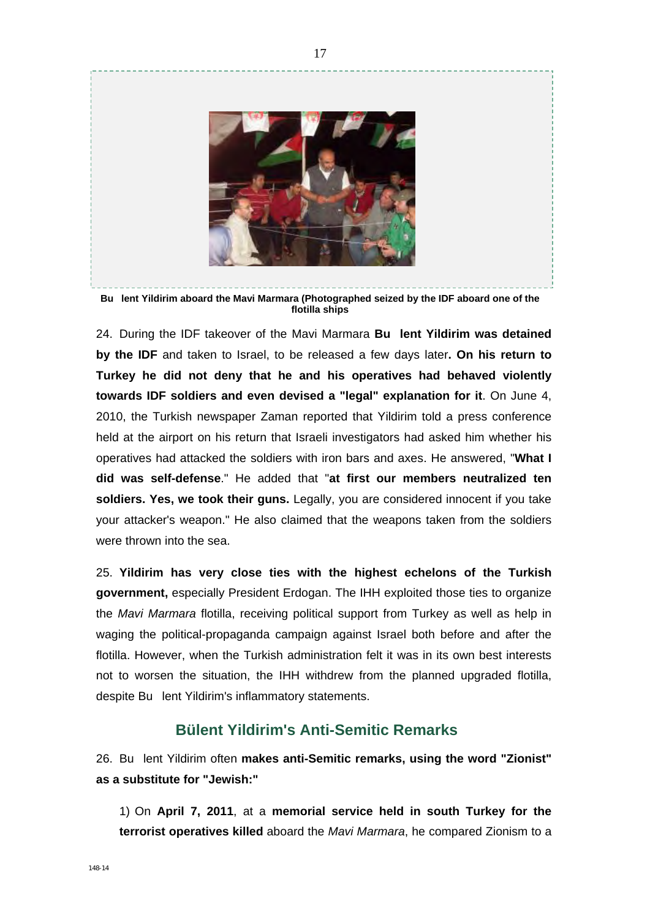

**Bu lent Yildirim aboard the Mavi Marmara (Photographed seized by the IDF aboard one of the flotilla ships** 

24. During the IDF takeover of the Mavi Marmara **Bu lent Yildirim was detained by the IDF** and taken to Israel, to be released a few days later**. On his return to Turkey he did not deny that he and his operatives had behaved violently towards IDF soldiers and even devised a "legal" explanation for it**. On June 4, 2010, the Turkish newspaper Zaman reported that Yildirim told a press conference held at the airport on his return that Israeli investigators had asked him whether his operatives had attacked the soldiers with iron bars and axes. He answered, "**What I did was self-defense**." He added that "**at first our members neutralized ten soldiers. Yes, we took their guns.** Legally, you are considered innocent if you take your attacker's weapon." He also claimed that the weapons taken from the soldiers were thrown into the sea.

25. **Yildirim has very close ties with the highest echelons of the Turkish government,** especially President Erdogan. The IHH exploited those ties to organize the *Mavi Marmara* flotilla, receiving political support from Turkey as well as help in waging the political-propaganda campaign against Israel both before and after the flotilla. However, when the Turkish administration felt it was in its own best interests not to worsen the situation, the IHH withdrew from the planned upgraded flotilla, despite Bu lent Yildirim's inflammatory statements.

### **Bülent Yildirim's Anti-Semitic Remarks**

26. Bu lent Yildirim often **makes anti-Semitic remarks, using the word "Zionist" as a substitute for "Jewish:"** 

1) On **April 7, 2011**, at a **memorial service held in south Turkey for the terrorist operatives killed** aboard the *Mavi Marmara*, he compared Zionism to a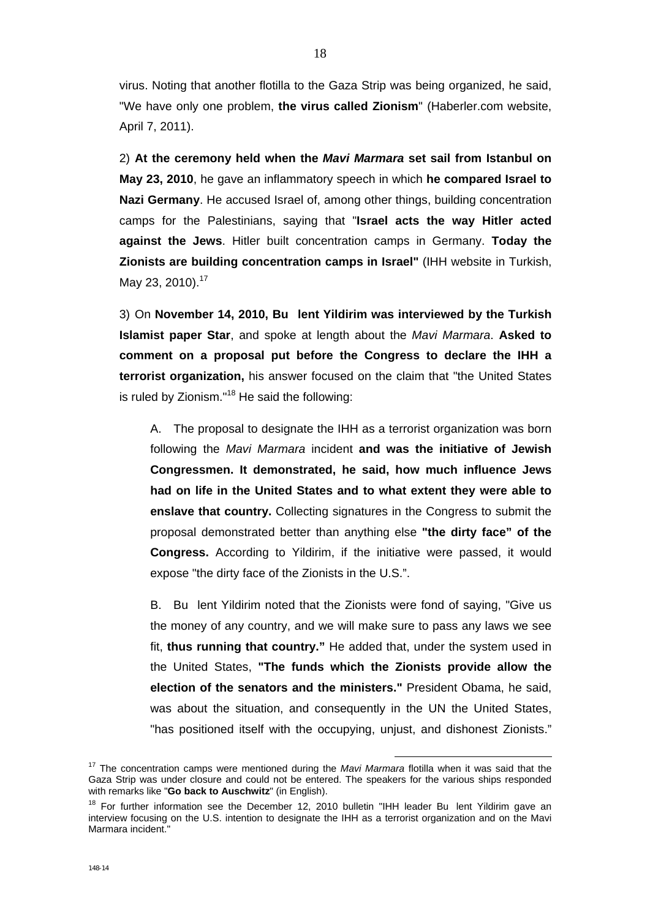virus. Noting that another flotilla to the Gaza Strip was being organized, he said, "We have only one problem, **the virus called Zionism**" (Haberler.com website, April 7, 2011).

2) **At the ceremony held when the** *Mavi Marmara* **set sail from Istanbul on May 23, 2010**, he gave an inflammatory speech in which **he compared Israel to Nazi Germany**. He accused Israel of, among other things, building concentration camps for the Palestinians, saying that "**Israel acts the way Hitler acted against the Jews**. Hitler built concentration camps in Germany. **Today the Zionists are building concentration camps in Israel"** (IHH website in Turkish, May 23, 2010).<sup>17</sup>

3) On **November 14, 2010, Bu lent Yildirim was interviewed by the Turkish Islamist paper Star**, and spoke at length about the *Mavi Marmara*. **Asked to comment on a proposal put before the Congress to declare the IHH a terrorist organization,** his answer focused on the claim that "the United States is ruled by Zionism."18 He said the following:

A. The proposal to designate the IHH as a terrorist organization was born following the *Mavi Marmara* incident **and was the initiative of Jewish Congressmen. It demonstrated, he said, how much influence Jews had on life in the United States and to what extent they were able to enslave that country.** Collecting signatures in the Congress to submit the proposal demonstrated better than anything else **"the dirty face" of the Congress.** According to Yildirim, if the initiative were passed, it would expose "the dirty face of the Zionists in the U.S.".

B. Bu lent Yildirim noted that the Zionists were fond of saying, "Give us the money of any country, and we will make sure to pass any laws we see fit, **thus running that country."** He added that, under the system used in the United States, **"The funds which the Zionists provide allow the election of the senators and the ministers."** President Obama, he said, was about the situation, and consequently in the UN the United States, "has positioned itself with the occupying, unjust, and dishonest Zionists."

17 The concentration camps were mentioned during the *Mavi Marmara* flotilla when it was said that the Gaza Strip was under closure and could not be entered. The speakers for the various ships responded with remarks like "**Go back to Auschwitz**" (in English).

 $18$  For further information see the December 12, 2010 bulletin "IHH leader Bu lent Yildirim gave an interview focusing on the U.S. intention to designate the IHH as a terrorist organization and on the Mavi Marmara incident."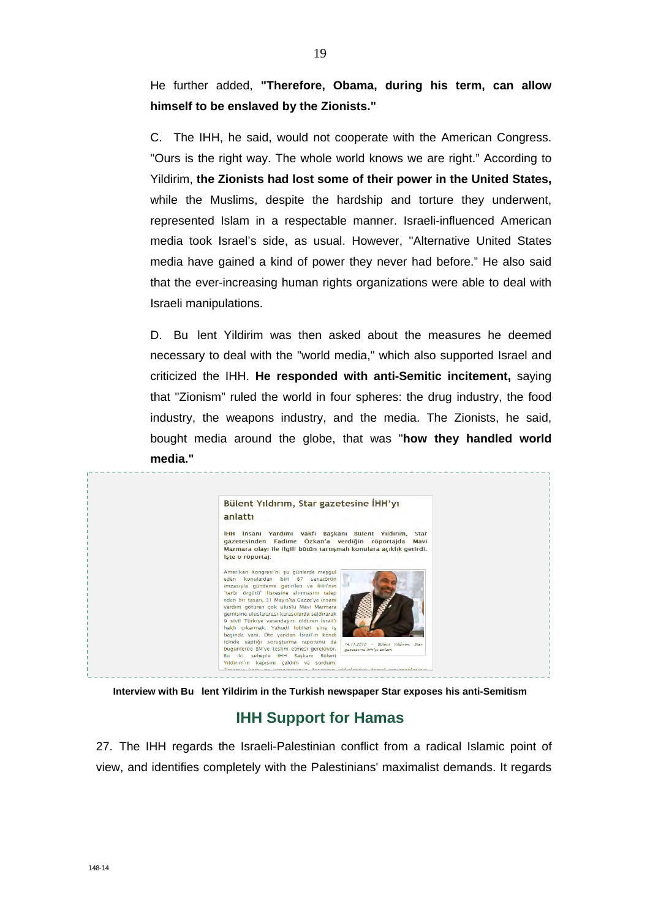He further added, **"Therefore, Obama, during his term, can allow himself to be enslaved by the Zionists."** 

C. The IHH, he said, would not cooperate with the American Congress. "Ours is the right way. The whole world knows we are right." According to Yildirim, **the Zionists had lost some of their power in the United States,**  while the Muslims, despite the hardship and torture they underwent, represented Islam in a respectable manner. Israeli-influenced American media took Israel's side, as usual. However, "Alternative United States media have gained a kind of power they never had before." He also said that the ever-increasing human rights organizations were able to deal with Israeli manipulations.

D. Bu lent Yildirim was then asked about the measures he deemed necessary to deal with the "world media," which also supported Israel and criticized the IHH. **He responded with anti-Semitic incitement,** saying that "Zionism" ruled the world in four spheres: the drug industry, the food industry, the weapons industry, and the media. The Zionists, he said, bought media around the globe, that was "**how they handled world media."** 



**Interview with Bu lent Yildirim in the Turkish newspaper Star exposes his anti-Semitism** 

# **IHH Support for Hamas**

27. The IHH regards the Israeli-Palestinian conflict from a radical Islamic point of view, and identifies completely with the Palestinians' maximalist demands. It regards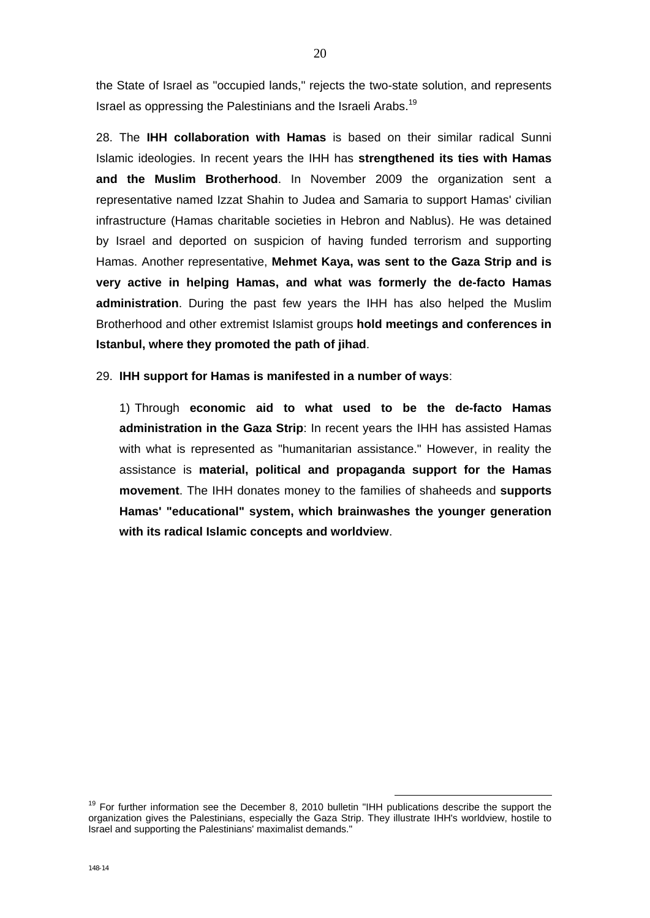the State of Israel as "occupied lands," rejects the two-state solution, and represents Israel as oppressing the Palestinians and the Israeli Arabs.<sup>19</sup>

28. The **IHH collaboration with Hamas** is based on their similar radical Sunni Islamic ideologies. In recent years the IHH has **strengthened its ties with Hamas and the Muslim Brotherhood**. In November 2009 the organization sent a representative named Izzat Shahin to Judea and Samaria to support Hamas' civilian infrastructure (Hamas charitable societies in Hebron and Nablus). He was detained by Israel and deported on suspicion of having funded terrorism and supporting Hamas. Another representative, **Mehmet Kaya, was sent to the Gaza Strip and is very active in helping Hamas, and what was formerly the de-facto Hamas administration**. During the past few years the IHH has also helped the Muslim Brotherhood and other extremist Islamist groups **hold meetings and conferences in Istanbul, where they promoted the path of jihad**.

29. **IHH support for Hamas is manifested in a number of ways**:

1) Through **economic aid to what used to be the de-facto Hamas administration in the Gaza Strip**: In recent years the IHH has assisted Hamas with what is represented as "humanitarian assistance." However, in reality the assistance is **material, political and propaganda support for the Hamas movement**. The IHH donates money to the families of shaheeds and **supports Hamas' "educational" system, which brainwashes the younger generation with its radical Islamic concepts and worldview**.

 $19$  For further information see the December 8, 2010 bulletin "IHH publications describe the support the organization gives the Palestinians, especially the Gaza Strip. They illustrate IHH's worldview, hostile to Israel and supporting the Palestinians' maximalist demands."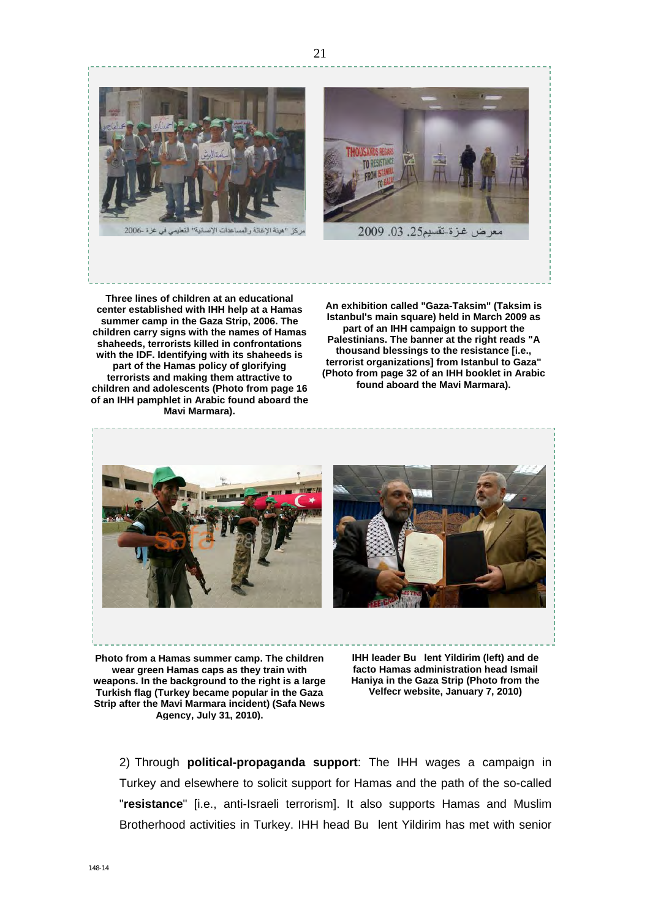

**Three lines of children at an educational center established with IHH help at a Hamas summer camp in the Gaza Strip, 2006. The children carry signs with the names of Hamas shaheeds, terrorists killed in confrontations with the IDF. Identifying with its shaheeds is part of the Hamas policy of glorifying terrorists and making them attractive to children and adolescents (Photo from page 16 of an IHH pamphlet in Arabic found aboard the Mavi Marmara).** 

**An exhibition called "Gaza-Taksim" (Taksim is Istanbul's main square) held in March 2009 as part of an IHH campaign to support the Palestinians. The banner at the right reads "A thousand blessings to the resistance [i.e., terrorist organizations] from Istanbul to Gaza" (Photo from page 32 of an IHH booklet in Arabic found aboard the Mavi Marmara).** 



**Photo from a Hamas summer camp. The children wear green Hamas caps as they train with weapons. In the background to the right is a large Turkish flag (Turkey became popular in the Gaza Strip after the Mavi Marmara incident) (Safa News Agency, July 31, 2010).** 

**IHH leader Bu lent Yildirim (left) and de facto Hamas administration head Ismail Haniya in the Gaza Strip (Photo from the Velfecr website, January 7, 2010)** 

2) Through **political-propaganda support**: The IHH wages a campaign in Turkey and elsewhere to solicit support for Hamas and the path of the so-called "**resistance**" [i.e., anti-Israeli terrorism]. It also supports Hamas and Muslim Brotherhood activities in Turkey. IHH head Bu lent Yildirim has met with senior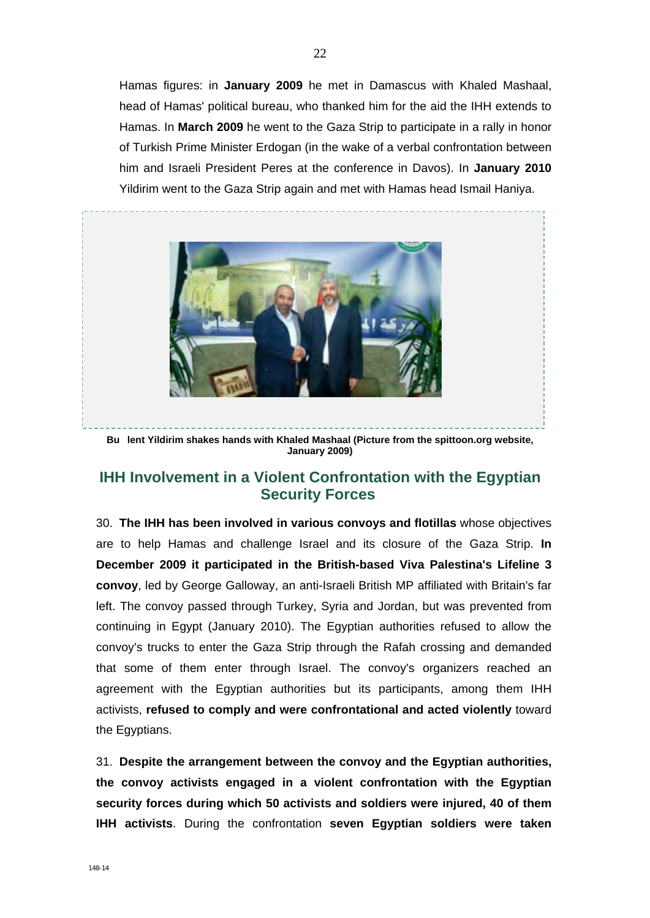Hamas figures: in **January 2009** he met in Damascus with Khaled Mashaal, head of Hamas' political bureau, who thanked him for the aid the IHH extends to Hamas. In **March 2009** he went to the Gaza Strip to participate in a rally in honor of Turkish Prime Minister Erdogan (in the wake of a verbal confrontation between him and Israeli President Peres at the conference in Davos). In **January 2010**  Yildirim went to the Gaza Strip again and met with Hamas head Ismail Haniya.



**Bu lent Yildirim shakes hands with Khaled Mashaal (Picture from the spittoon.org website, January 2009)** 

## **IHH Involvement in a Violent Confrontation with the Egyptian Security Forces**

30. **The IHH has been involved in various convoys and flotillas** whose objectives are to help Hamas and challenge Israel and its closure of the Gaza Strip. **In December 2009 it participated in the British-based Viva Palestina's Lifeline 3 convoy**, led by George Galloway, an anti-Israeli British MP affiliated with Britain's far left. The convoy passed through Turkey, Syria and Jordan, but was prevented from continuing in Egypt (January 2010). The Egyptian authorities refused to allow the convoy's trucks to enter the Gaza Strip through the Rafah crossing and demanded that some of them enter through Israel. The convoy's organizers reached an agreement with the Egyptian authorities but its participants, among them IHH activists, **refused to comply and were confrontational and acted violently** toward the Egyptians.

31. **Despite the arrangement between the convoy and the Egyptian authorities, the convoy activists engaged in a violent confrontation with the Egyptian security forces during which 50 activists and soldiers were injured, 40 of them IHH activists**. During the confrontation **seven Egyptian soldiers were taken**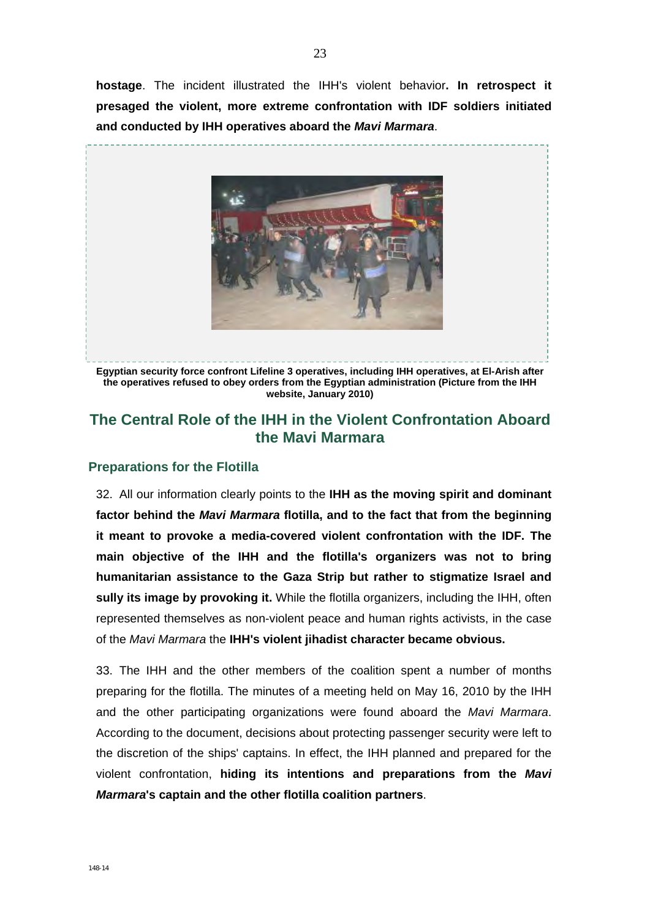**hostage**. The incident illustrated the IHH's violent behavior**. In retrospect it presaged the violent, more extreme confrontation with IDF soldiers initiated and conducted by IHH operatives aboard the** *Mavi Marmara*.



**the operatives refused to obey orders from the Egyptian administration (Picture from the IHH website, January 2010)** 

# **The Central Role of the IHH in the Violent Confrontation Aboard the Mavi Marmara**

#### **Preparations for the Flotilla**

32. All our information clearly points to the **IHH as the moving spirit and dominant factor behind the** *Mavi Marmara* **flotilla, and to the fact that from the beginning it meant to provoke a media-covered violent confrontation with the IDF. The main objective of the IHH and the flotilla's organizers was not to bring humanitarian assistance to the Gaza Strip but rather to stigmatize Israel and sully its image by provoking it.** While the flotilla organizers, including the IHH, often represented themselves as non-violent peace and human rights activists, in the case of the *Mavi Marmara* the **IHH's violent jihadist character became obvious.** 

33. The IHH and the other members of the coalition spent a number of months preparing for the flotilla. The minutes of a meeting held on May 16, 2010 by the IHH and the other participating organizations were found aboard the *Mavi Marmara*. According to the document, decisions about protecting passenger security were left to the discretion of the ships' captains. In effect, the IHH planned and prepared for the violent confrontation, **hiding its intentions and preparations from the** *Mavi Marmara***'s captain and the other flotilla coalition partners**.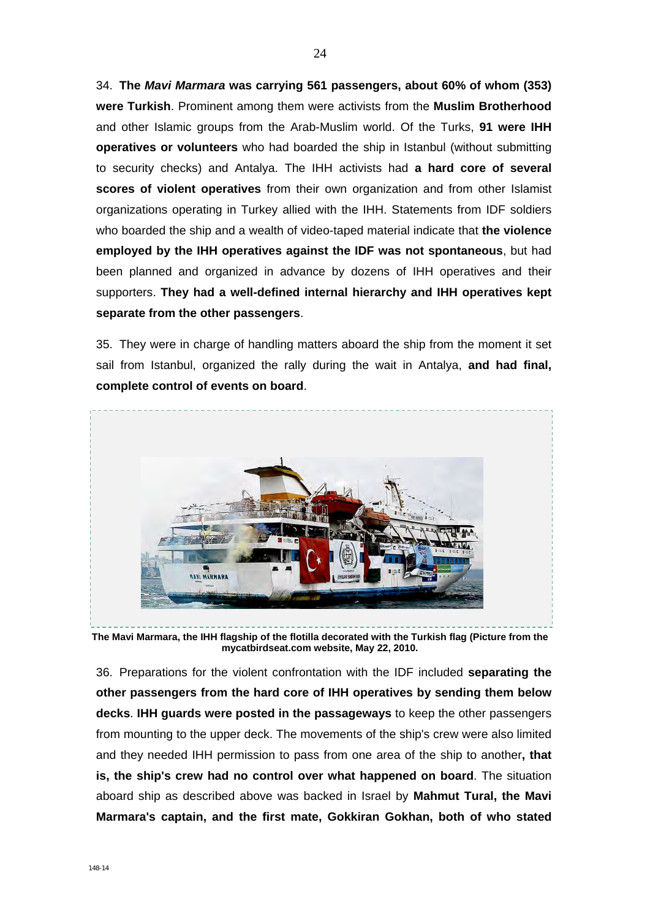34. **The** *Mavi Marmara* **was carrying 561 passengers, about 60% of whom (353) were Turkish**. Prominent among them were activists from the **Muslim Brotherhood**  and other Islamic groups from the Arab-Muslim world. Of the Turks, **91 were IHH operatives or volunteers** who had boarded the ship in Istanbul (without submitting to security checks) and Antalya. The IHH activists had **a hard core of several scores of violent operatives** from their own organization and from other Islamist organizations operating in Turkey allied with the IHH. Statements from IDF soldiers who boarded the ship and a wealth of video-taped material indicate that **the violence employed by the IHH operatives against the IDF was not spontaneous**, but had been planned and organized in advance by dozens of IHH operatives and their supporters. **They had a well-defined internal hierarchy and IHH operatives kept separate from the other passengers**.

35. They were in charge of handling matters aboard the ship from the moment it set sail from Istanbul, organized the rally during the wait in Antalya, **and had final, complete control of events on board**.



**The Mavi Marmara, the IHH flagship of the flotilla decorated with the Turkish flag (Picture from the mycatbirdseat.com website, May 22, 2010.** 

36. Preparations for the violent confrontation with the IDF included **separating the other passengers from the hard core of IHH operatives by sending them below decks**. **IHH guards were posted in the passageways** to keep the other passengers from mounting to the upper deck. The movements of the ship's crew were also limited and they needed IHH permission to pass from one area of the ship to another**, that is, the ship's crew had no control over what happened on board**. The situation aboard ship as described above was backed in Israel by **Mahmut Tural, the Mavi Marmara's captain, and the first mate, Gokkiran Gokhan, both of who stated**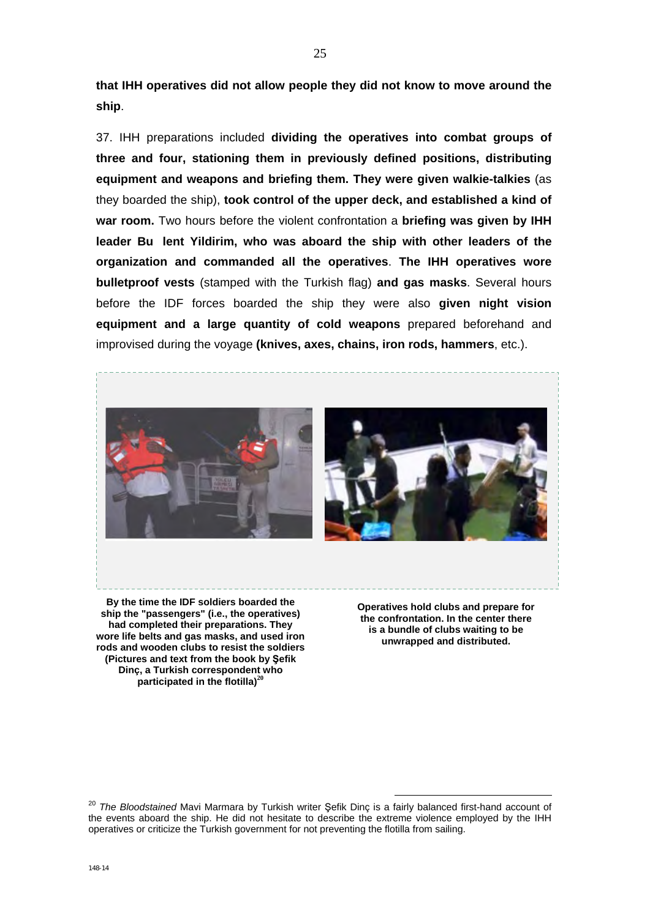**that IHH operatives did not allow people they did not know to move around the ship**.

37. IHH preparations included **dividing the operatives into combat groups of three and four, stationing them in previously defined positions, distributing equipment and weapons and briefing them. They were given walkie-talkies** (as they boarded the ship), **took control of the upper deck, and established a kind of war room.** Two hours before the violent confrontation a **briefing was given by IHH leader Bu lent Yildirim, who was aboard the ship with other leaders of the organization and commanded all the operatives**. **The IHH operatives wore bulletproof vests** (stamped with the Turkish flag) **and gas masks**. Several hours before the IDF forces boarded the ship they were also **given night vision equipment and a large quantity of cold weapons** prepared beforehand and improvised during the voyage **(knives, axes, chains, iron rods, hammers**, etc.).



**By the time the IDF soldiers boarded the ship the "passengers" (i.e., the operatives) had completed their preparations. They wore life belts and gas masks, and used iron rods and wooden clubs to resist the soldiers (Pictures and text from the book by Şefik Dinç, a Turkish correspondent who participated in the flotilla)<sup>20</sup>**

**Operatives hold clubs and prepare for the confrontation. In the center there is a bundle of clubs waiting to be unwrapped and distributed.** 

<sup>20</sup> *The Bloodstained* Mavi Marmara by Turkish writer Şefik Dinç is a fairly balanced first-hand account of the events aboard the ship. He did not hesitate to describe the extreme violence employed by the IHH operatives or criticize the Turkish government for not preventing the flotilla from sailing.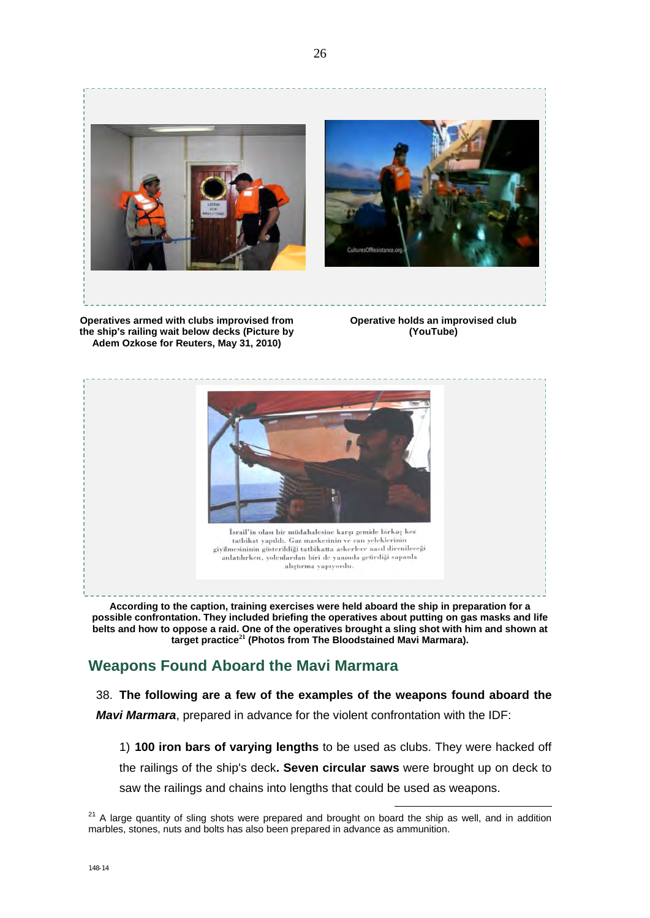

**the ship's railing wait below decks (Picture by Adem Ozkose for Reuters, May 31, 2010)** 

**(YouTube)** 



**According to the caption, training exercises were held aboard the ship in preparation for a possible confrontation. They included briefing the operatives about putting on gas masks and life belts and how to oppose a raid. One of the operatives brought a sling shot with him and shown at target practice<sup>21</sup> (Photos from The Bloodstained Mavi Marmara).** 

# **Weapons Found Aboard the Mavi Marmara**

### 38. **The following are a few of the examples of the weapons found aboard the**  *Mavi Marmara*, prepared in advance for the violent confrontation with the IDF:

1) **100 iron bars of varying lengths** to be used as clubs. They were hacked off the railings of the ship's deck**. Seven circular saws** were brought up on deck to saw the railings and chains into lengths that could be used as weapons.

 $21$  A large quantity of sling shots were prepared and brought on board the ship as well, and in addition marbles, stones, nuts and bolts has also been prepared in advance as ammunition.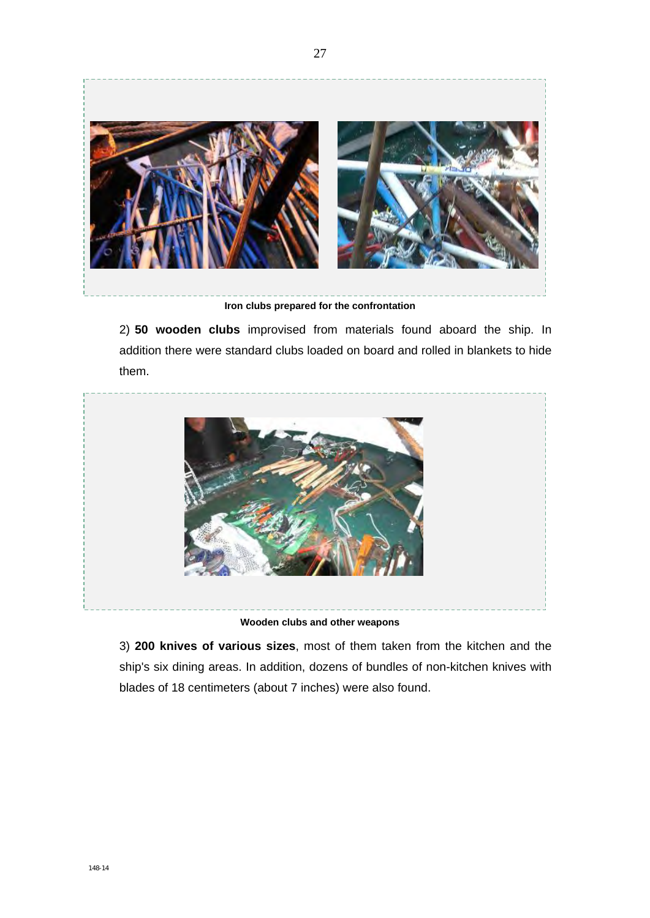

27

**Iron clubs prepared for the confrontation** 

2) **50 wooden clubs** improvised from materials found aboard the ship. In addition there were standard clubs loaded on board and rolled in blankets to hide them.



**Wooden clubs and other weapons** 

3) **200 knives of various sizes**, most of them taken from the kitchen and the ship's six dining areas. In addition, dozens of bundles of non-kitchen knives with blades of 18 centimeters (about 7 inches) were also found.

148-14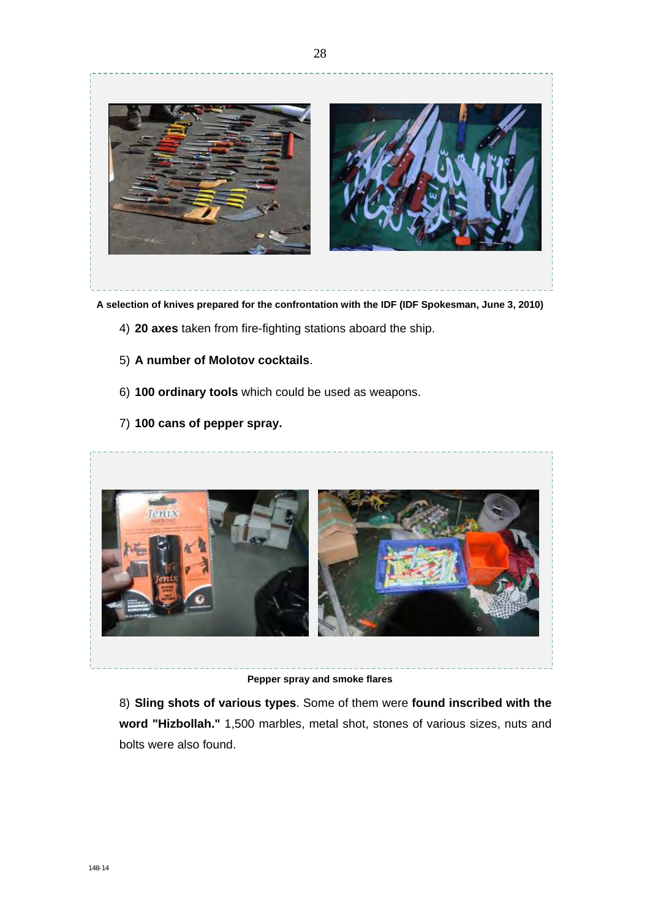

**A selection of knives prepared for the confrontation with the IDF (IDF Spokesman, June 3, 2010)** 

- 4) **20 axes** taken from fire-fighting stations aboard the ship.
- 5) **A number of Molotov cocktails**.
- 6) **100 ordinary tools** which could be used as weapons.
- 7) **100 cans of pepper spray.**



**Pepper spray and smoke flares** 

8) **Sling shots of various types**. Some of them were **found inscribed with the word "Hizbollah."** 1,500 marbles, metal shot, stones of various sizes, nuts and bolts were also found.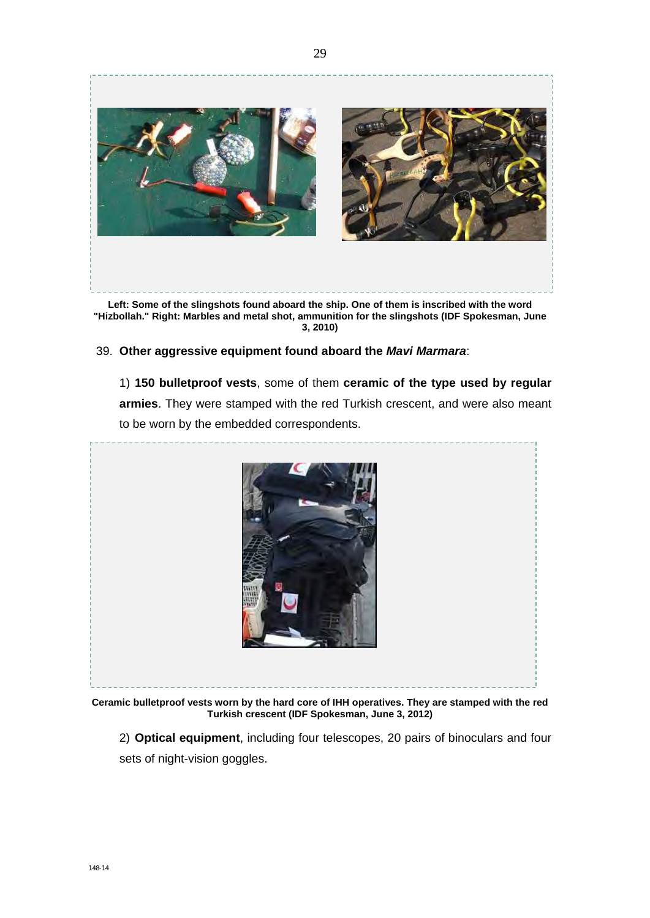

**Left: Some of the slingshots found aboard the ship. One of them is inscribed with the word "Hizbollah." Right: Marbles and metal shot, ammunition for the slingshots (IDF Spokesman, June 3, 2010)** 

#### 39. **Other aggressive equipment found aboard the** *Mavi Marmara*:

1) **150 bulletproof vests**, some of them **ceramic of the type used by regular armies**. They were stamped with the red Turkish crescent, and were also meant to be worn by the embedded correspondents.



**Ceramic bulletproof vests worn by the hard core of IHH operatives. They are stamped with the red Turkish crescent (IDF Spokesman, June 3, 2012)** 

2) **Optical equipment**, including four telescopes, 20 pairs of binoculars and four sets of night-vision goggles.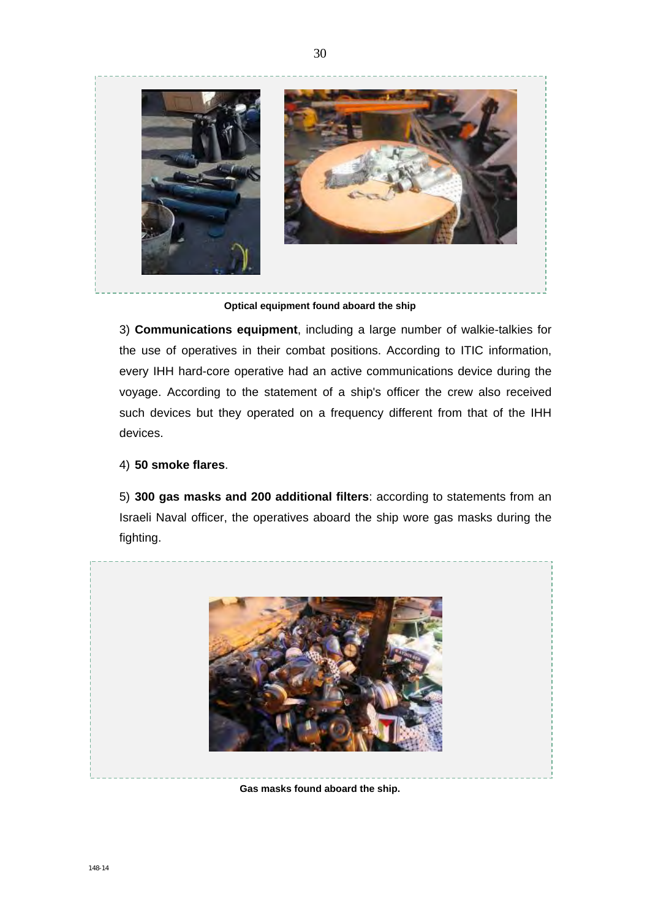

30

**Optical equipment found aboard the ship** 

3) **Communications equipment**, including a large number of walkie-talkies for the use of operatives in their combat positions. According to ITIC information, every IHH hard-core operative had an active communications device during the voyage. According to the statement of a ship's officer the crew also received such devices but they operated on a frequency different from that of the IHH devices.

#### 4) **50 smoke flares**.

5) **300 gas masks and 200 additional filters**: according to statements from an Israeli Naval officer, the operatives aboard the ship wore gas masks during the fighting.



**Gas masks found aboard the ship.**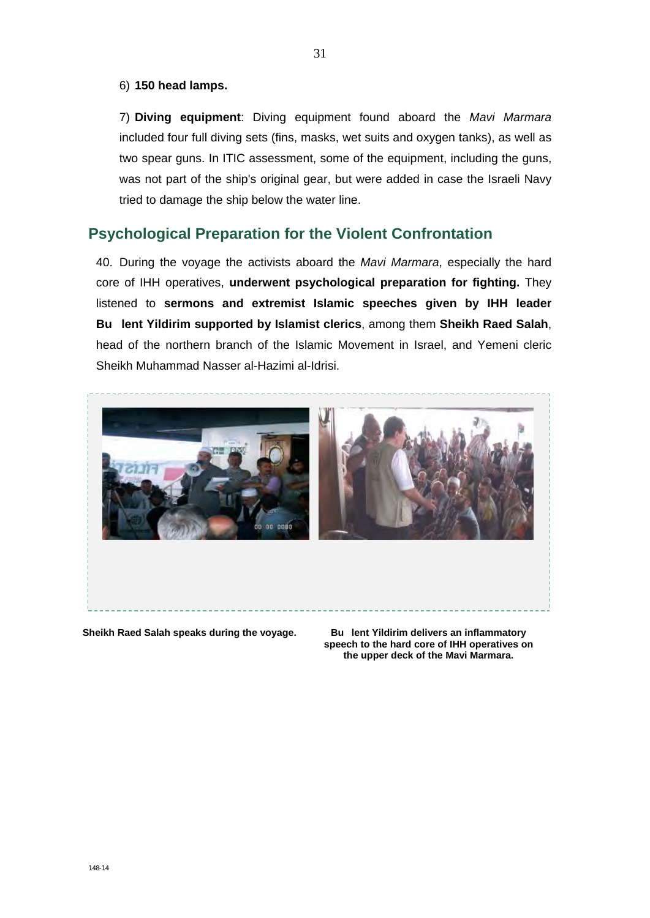#### 6) **150 head lamps.**

7) **Diving equipment**: Diving equipment found aboard the *Mavi Marmara*  included four full diving sets (fins, masks, wet suits and oxygen tanks), as well as two spear guns. In ITIC assessment, some of the equipment, including the guns, was not part of the ship's original gear, but were added in case the Israeli Navy tried to damage the ship below the water line.

## **Psychological Preparation for the Violent Confrontation**

40. During the voyage the activists aboard the *Mavi Marmara*, especially the hard core of IHH operatives, **underwent psychological preparation for fighting.** They listened to **sermons and extremist Islamic speeches given by IHH leader Bu lent Yildirim supported by Islamist clerics**, among them **Sheikh Raed Salah**, head of the northern branch of the Islamic Movement in Israel, and Yemeni cleric Sheikh Muhammad Nasser al-Hazimi al-Idrisi.



**Sheikh Raed Salah speaks during the voyage.**

**Bu lent Yildirim delivers an inflammatory speech to the hard core of IHH operatives on the upper deck of the Mavi Marmara.**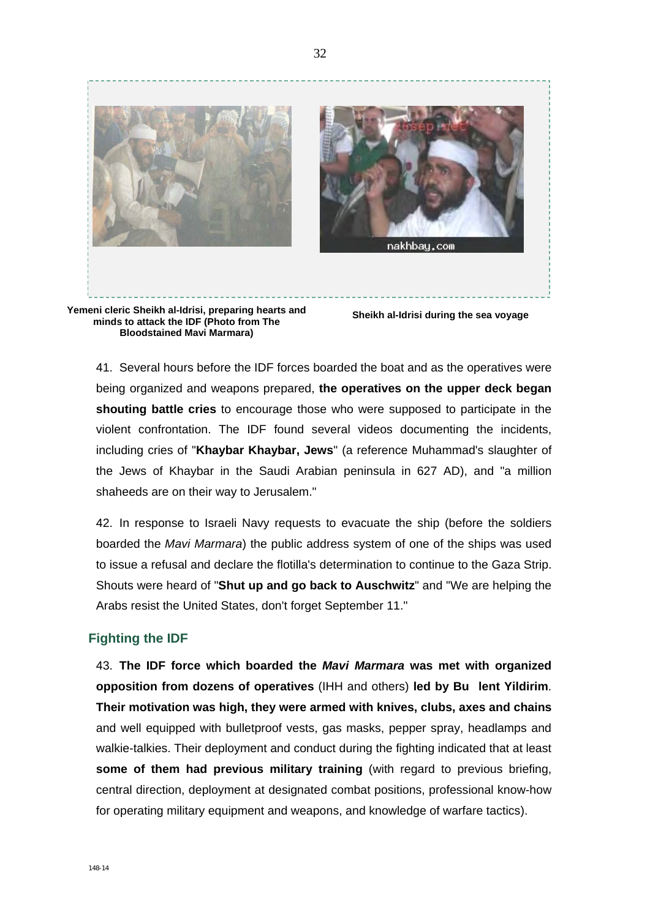

**minds to attack the IDF (Photo from The Bloodstained Mavi Marmara)** 

41. Several hours before the IDF forces boarded the boat and as the operatives were being organized and weapons prepared, **the operatives on the upper deck began shouting battle cries** to encourage those who were supposed to participate in the violent confrontation. The IDF found several videos documenting the incidents, including cries of "**Khaybar Khaybar, Jews**" (a reference Muhammad's slaughter of the Jews of Khaybar in the Saudi Arabian peninsula in 627 AD), and "a million shaheeds are on their way to Jerusalem."

42. In response to Israeli Navy requests to evacuate the ship (before the soldiers boarded the *Mavi Marmara*) the public address system of one of the ships was used to issue a refusal and declare the flotilla's determination to continue to the Gaza Strip. Shouts were heard of "**Shut up and go back to Auschwitz**" and "We are helping the Arabs resist the United States, don't forget September 11."

#### **Fighting the IDF**

43. **The IDF force which boarded the** *Mavi Marmara* **was met with organized opposition from dozens of operatives** (IHH and others) **led by Bu lent Yildirim**. **Their motivation was high, they were armed with knives, clubs, axes and chains**  and well equipped with bulletproof vests, gas masks, pepper spray, headlamps and walkie-talkies. Their deployment and conduct during the fighting indicated that at least **some of them had previous military training** (with regard to previous briefing, central direction, deployment at designated combat positions, professional know-how for operating military equipment and weapons, and knowledge of warfare tactics).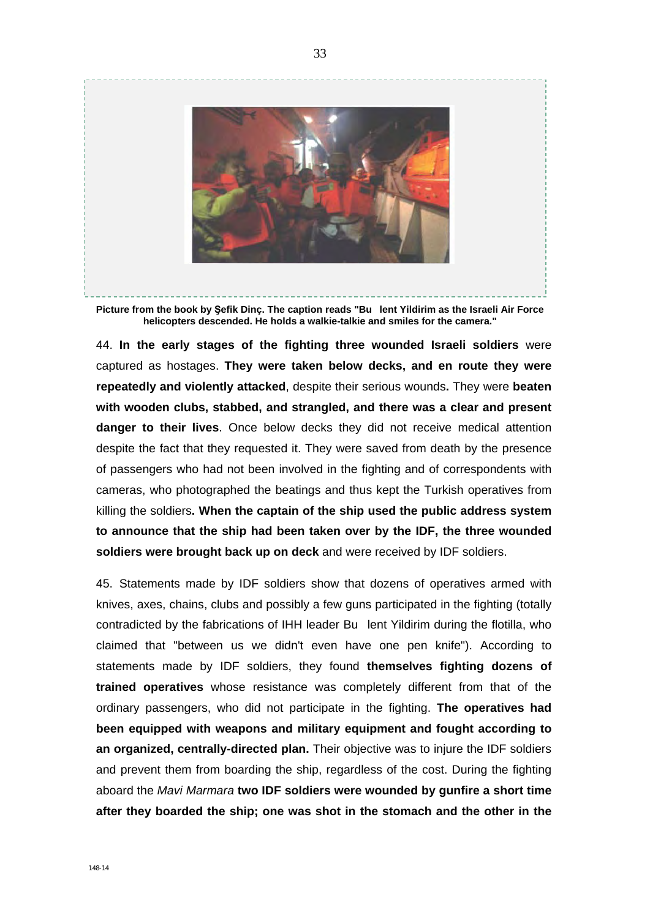

**Picture from the book by Şefik Dinç. The caption reads "Bu lent Yildirim as the Israeli Air Force helicopters descended. He holds a walkie-talkie and smiles for the camera."** 

44. **In the early stages of the fighting three wounded Israeli soldiers** were captured as hostages. **They were taken below decks, and en route they were repeatedly and violently attacked**, despite their serious wounds**.** They were **beaten with wooden clubs, stabbed, and strangled, and there was a clear and present danger to their lives**. Once below decks they did not receive medical attention despite the fact that they requested it. They were saved from death by the presence of passengers who had not been involved in the fighting and of correspondents with cameras, who photographed the beatings and thus kept the Turkish operatives from killing the soldiers**. When the captain of the ship used the public address system to announce that the ship had been taken over by the IDF, the three wounded soldiers were brought back up on deck** and were received by IDF soldiers.

45. Statements made by IDF soldiers show that dozens of operatives armed with knives, axes, chains, clubs and possibly a few guns participated in the fighting (totally contradicted by the fabrications of IHH leader Bu lent Yildirim during the flotilla, who claimed that "between us we didn't even have one pen knife"). According to statements made by IDF soldiers, they found **themselves fighting dozens of trained operatives** whose resistance was completely different from that of the ordinary passengers, who did not participate in the fighting. **The operatives had been equipped with weapons and military equipment and fought according to an organized, centrally-directed plan.** Their objective was to injure the IDF soldiers and prevent them from boarding the ship, regardless of the cost. During the fighting aboard the *Mavi Marmara* **two IDF soldiers were wounded by gunfire a short time after they boarded the ship; one was shot in the stomach and the other in the**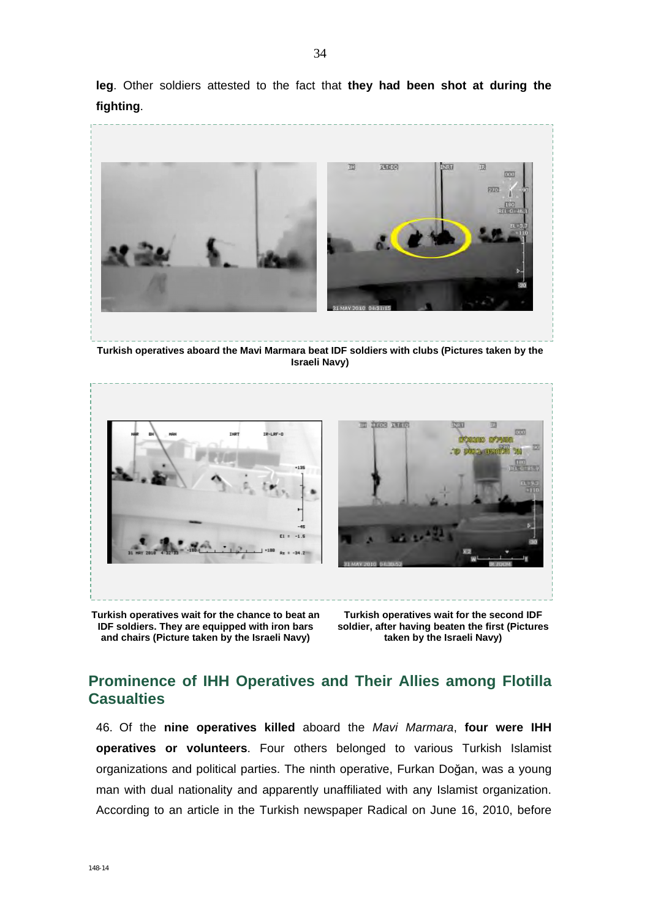**leg**. Other soldiers attested to the fact that **they had been shot at during the fighting**.



**Turkish operatives aboard the Mavi Marmara beat IDF soldiers with clubs (Pictures taken by the Israeli Navy)** 



**Turkish operatives wait for the chance to beat an IDF soldiers. They are equipped with iron bars and chairs (Picture taken by the Israeli Navy)** 

**Turkish operatives wait for the second IDF soldier, after having beaten the first (Pictures taken by the Israeli Navy)** 

## **Prominence of IHH Operatives and Their Allies among Flotilla Casualties**

46. Of the **nine operatives killed** aboard the *Mavi Marmara*, **four were IHH operatives or volunteers**. Four others belonged to various Turkish Islamist organizations and political parties. The ninth operative, Furkan Doğan, was a young man with dual nationality and apparently unaffiliated with any Islamist organization. According to an article in the Turkish newspaper Radical on June 16, 2010, before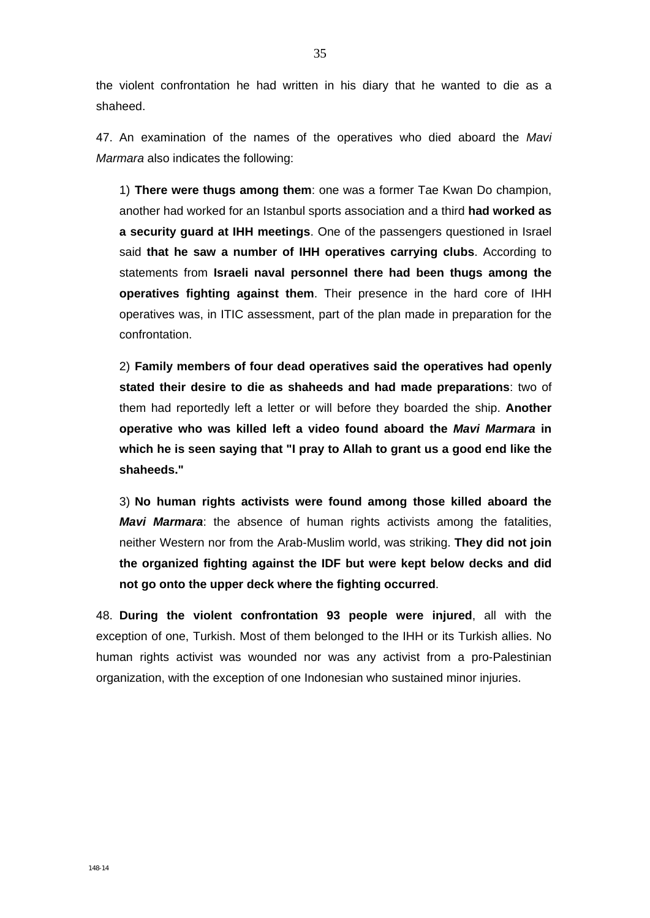the violent confrontation he had written in his diary that he wanted to die as a shaheed.

47. An examination of the names of the operatives who died aboard the *Mavi Marmara* also indicates the following:

1) **There were thugs among them**: one was a former Tae Kwan Do champion, another had worked for an Istanbul sports association and a third **had worked as a security guard at IHH meetings**. One of the passengers questioned in Israel said **that he saw a number of IHH operatives carrying clubs**. According to statements from **Israeli naval personnel there had been thugs among the operatives fighting against them**. Their presence in the hard core of IHH operatives was, in ITIC assessment, part of the plan made in preparation for the confrontation.

2) **Family members of four dead operatives said the operatives had openly stated their desire to die as shaheeds and had made preparations**: two of them had reportedly left a letter or will before they boarded the ship. **Another operative who was killed left a video found aboard the** *Mavi Marmara* **in which he is seen saying that "I pray to Allah to grant us a good end like the shaheeds."** 

3) **No human rights activists were found among those killed aboard the**  *Mavi Marmara*: the absence of human rights activists among the fatalities, neither Western nor from the Arab-Muslim world, was striking. **They did not join the organized fighting against the IDF but were kept below decks and did not go onto the upper deck where the fighting occurred**.

48. **During the violent confrontation 93 people were injured**, all with the exception of one, Turkish. Most of them belonged to the IHH or its Turkish allies. No human rights activist was wounded nor was any activist from a pro-Palestinian organization, with the exception of one Indonesian who sustained minor injuries.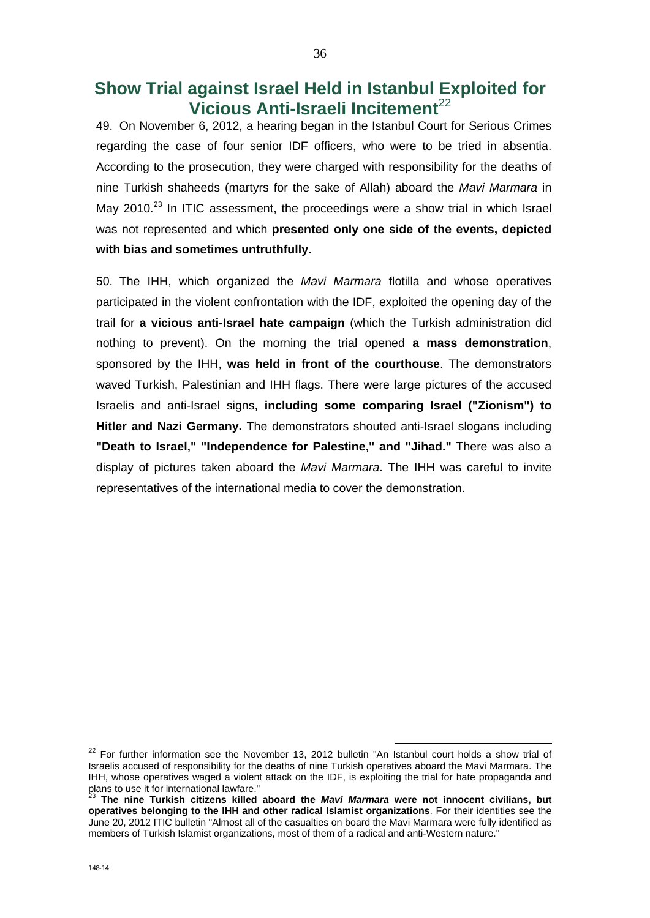# **Show Trial against Israel Held in Istanbul Exploited for Vicious Anti-Israeli Incitement**<sup>22</sup>

49. On November 6, 2012, a hearing began in the Istanbul Court for Serious Crimes regarding the case of four senior IDF officers, who were to be tried in absentia. According to the prosecution, they were charged with responsibility for the deaths of nine Turkish shaheeds (martyrs for the sake of Allah) aboard the *Mavi Marmara* in May 2010.<sup>23</sup> In ITIC assessment, the proceedings were a show trial in which Israel was not represented and which **presented only one side of the events, depicted with bias and sometimes untruthfully.**

50. The IHH, which organized the *Mavi Marmara* flotilla and whose operatives participated in the violent confrontation with the IDF, exploited the opening day of the trail for **a vicious anti-Israel hate campaign** (which the Turkish administration did nothing to prevent). On the morning the trial opened **a mass demonstration**, sponsored by the IHH, **was held in front of the courthouse**. The demonstrators waved Turkish, Palestinian and IHH flags. There were large pictures of the accused Israelis and anti-Israel signs, **including some comparing Israel ("Zionism") to Hitler and Nazi Germany.** The demonstrators shouted anti-Israel slogans including **"Death to Israel," "Independence for Palestine," and "Jihad."** There was also a display of pictures taken aboard the *Mavi Marmara*. The IHH was careful to invite representatives of the international media to cover the demonstration.

 $22$  For further information see the November 13, 2012 bulletin "An Istanbul court holds a show trial of Israelis accused of responsibility for the deaths of nine Turkish operatives aboard the Mavi Marmara. The IHH, whose operatives waged a violent attack on the IDF, is exploiting the trial for hate propaganda and plans to use it for international lawfare."

<sup>23</sup> **The nine Turkish citizens killed aboard the** *Mavi Marmara* **were not innocent civilians, but operatives belonging to the IHH and other radical Islamist organizations**. For their identities see the June 20, 2012 ITIC bulletin "Almost all of the casualties on board the Mavi Marmara were fully identified as members of Turkish Islamist organizations, most of them of a radical and anti-Western nature."